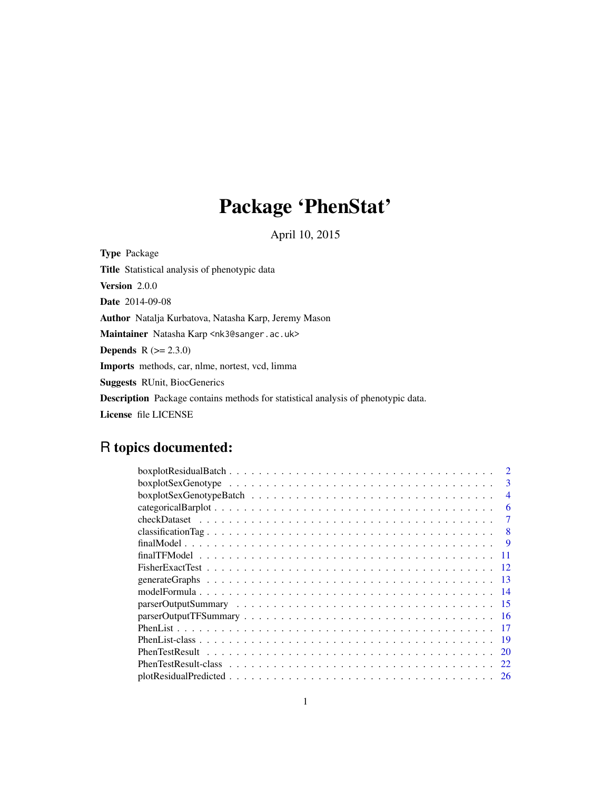# Package 'PhenStat'

April 10, 2015

Type Package Title Statistical analysis of phenotypic data Version 2.0.0 Date 2014-09-08 Author Natalja Kurbatova, Natasha Karp, Jeremy Mason Maintainer Natasha Karp <nk3@sanger.ac.uk> **Depends**  $R (= 2.3.0)$ Imports methods, car, nlme, nortest, vcd, limma Suggests RUnit, BiocGenerics Description Package contains methods for statistical analysis of phenotypic data. License file LICENSE

## R topics documented:

| 3              |
|----------------|
| $\overline{4}$ |
| 6              |
| 7              |
| 8              |
| 9              |
|                |
|                |
| 13             |
| 14             |
| 15             |
| -16            |
| -17            |
| - 19           |
| <b>20</b>      |
|                |
|                |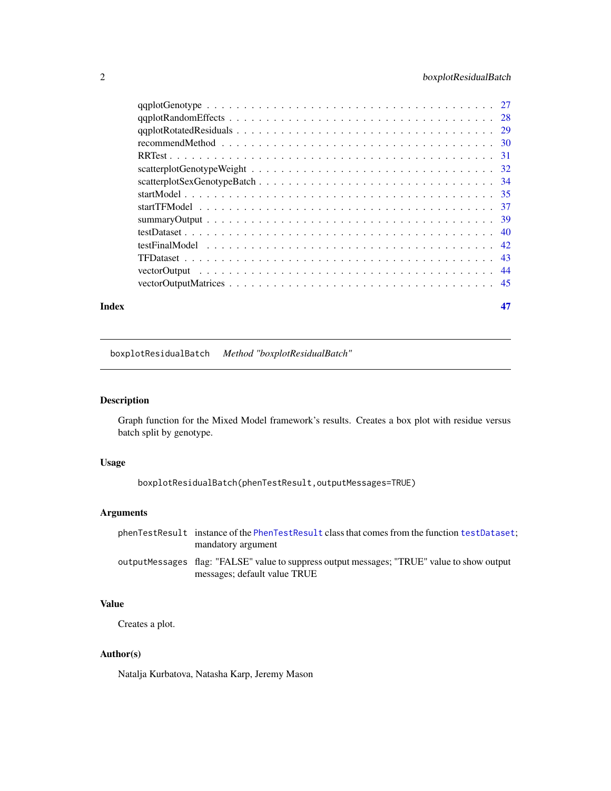## <span id="page-1-0"></span>2 boxplotResidualBatch

#### **Index** [47](#page-46-0)

boxplotResidualBatch *Method "boxplotResidualBatch"*

## Description

Graph function for the Mixed Model framework's results. Creates a box plot with residue versus batch split by genotype.

## Usage

```
boxplotResidualBatch(phenTestResult,outputMessages=TRUE)
```
## Arguments

| phenTestResult instance of the PhenTestResult class that comes from the function testDataset: |
|-----------------------------------------------------------------------------------------------|
| mandatory argument                                                                            |
| output Messages flag: "FALSE" value to suppress output messages; "TRUE" value to show output  |
| messages; default value TRUE                                                                  |

## Value

Creates a plot.

## Author(s)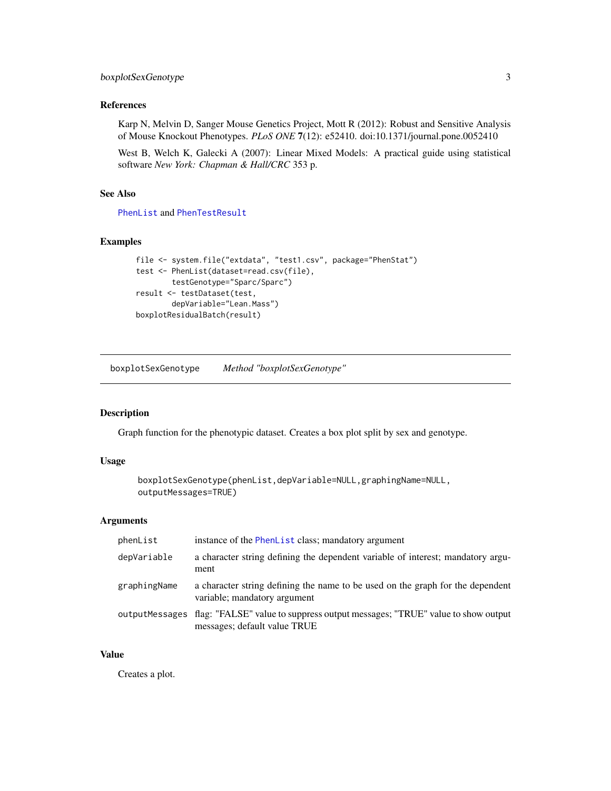## <span id="page-2-0"></span>boxplotSexGenotype 3

## References

Karp N, Melvin D, Sanger Mouse Genetics Project, Mott R (2012): Robust and Sensitive Analysis of Mouse Knockout Phenotypes. *PLoS ONE* 7(12): e52410. doi:10.1371/journal.pone.0052410

West B, Welch K, Galecki A (2007): Linear Mixed Models: A practical guide using statistical software *New York: Chapman & Hall/CRC* 353 p.

## See Also

[PhenList](#page-18-1) and [PhenTestResult](#page-21-1)

## Examples

```
file <- system.file("extdata", "test1.csv", package="PhenStat")
test <- PhenList(dataset=read.csv(file),
        testGenotype="Sparc/Sparc")
result <- testDataset(test,
        depVariable="Lean.Mass")
boxplotResidualBatch(result)
```
boxplotSexGenotype *Method "boxplotSexGenotype"*

#### Description

Graph function for the phenotypic dataset. Creates a box plot split by sex and genotype.

#### Usage

```
boxplotSexGenotype(phenList,depVariable=NULL,graphingName=NULL,
outputMessages=TRUE)
```
## Arguments

| phenList     | instance of the PhenList class; mandatory argument                                                                          |
|--------------|-----------------------------------------------------------------------------------------------------------------------------|
| depVariable  | a character string defining the dependent variable of interest; mandatory argu-<br>ment                                     |
| graphingName | a character string defining the name to be used on the graph for the dependent<br>variable; mandatory argument              |
|              | outputMessages flag: "FALSE" value to suppress output messages; "TRUE" value to show output<br>messages; default value TRUE |

## Value

Creates a plot.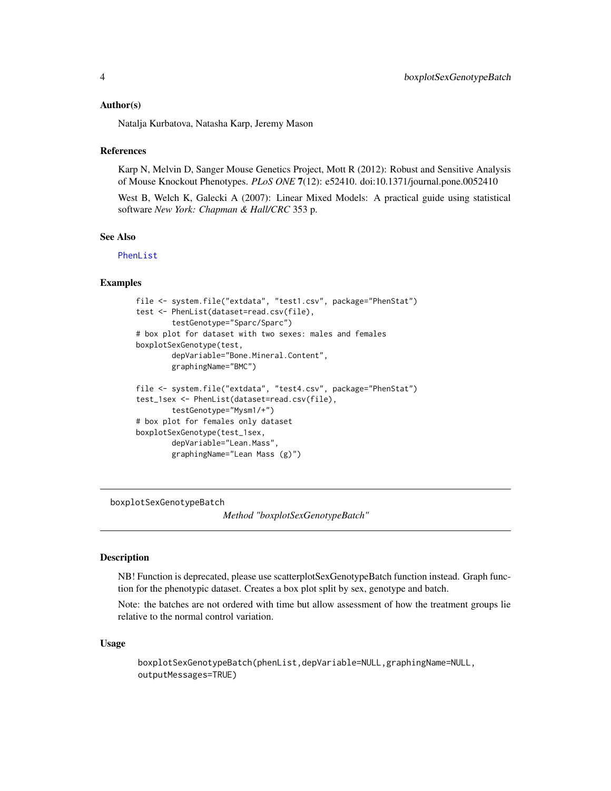#### <span id="page-3-0"></span>Author(s)

Natalja Kurbatova, Natasha Karp, Jeremy Mason

#### **References**

Karp N, Melvin D, Sanger Mouse Genetics Project, Mott R (2012): Robust and Sensitive Analysis of Mouse Knockout Phenotypes. *PLoS ONE* 7(12): e52410. doi:10.1371/journal.pone.0052410

West B, Welch K, Galecki A (2007): Linear Mixed Models: A practical guide using statistical software *New York: Chapman & Hall/CRC* 353 p.

## See Also

[PhenList](#page-18-1)

## Examples

```
file <- system.file("extdata", "test1.csv", package="PhenStat")
test <- PhenList(dataset=read.csv(file),
        testGenotype="Sparc/Sparc")
# box plot for dataset with two sexes: males and females
boxplotSexGenotype(test,
        depVariable="Bone.Mineral.Content",
        graphingName="BMC")
file <- system.file("extdata", "test4.csv", package="PhenStat")
test_1sex <- PhenList(dataset=read.csv(file),
        testGenotype="Mysm1/+")
# box plot for females only dataset
boxplotSexGenotype(test_1sex,
        depVariable="Lean.Mass",
        graphingName="Lean Mass (g)")
```
boxplotSexGenotypeBatch

*Method "boxplotSexGenotypeBatch"*

#### Description

NB! Function is deprecated, please use scatterplotSexGenotypeBatch function instead. Graph function for the phenotypic dataset. Creates a box plot split by sex, genotype and batch.

Note: the batches are not ordered with time but allow assessment of how the treatment groups lie relative to the normal control variation.

#### Usage

```
boxplotSexGenotypeBatch(phenList,depVariable=NULL,graphingName=NULL,
outputMessages=TRUE)
```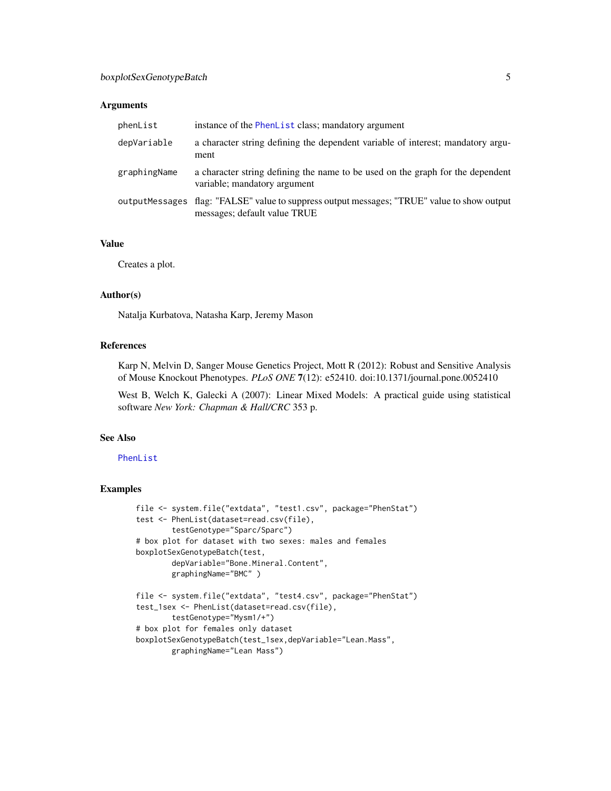## Arguments

| phenList     | instance of the PhenList class; mandatory argument                                                                          |
|--------------|-----------------------------------------------------------------------------------------------------------------------------|
| depVariable  | a character string defining the dependent variable of interest; mandatory argu-<br>ment                                     |
| graphingName | a character string defining the name to be used on the graph for the dependent<br>variable; mandatory argument              |
|              | outputMessages flag: "FALSE" value to suppress output messages; "TRUE" value to show output<br>messages; default value TRUE |

## Value

Creates a plot.

#### Author(s)

Natalja Kurbatova, Natasha Karp, Jeremy Mason

## References

Karp N, Melvin D, Sanger Mouse Genetics Project, Mott R (2012): Robust and Sensitive Analysis of Mouse Knockout Phenotypes. *PLoS ONE* 7(12): e52410. doi:10.1371/journal.pone.0052410

West B, Welch K, Galecki A (2007): Linear Mixed Models: A practical guide using statistical software *New York: Chapman & Hall/CRC* 353 p.

#### See Also

#### [PhenList](#page-18-1)

```
file <- system.file("extdata", "test1.csv", package="PhenStat")
test <- PhenList(dataset=read.csv(file),
        testGenotype="Sparc/Sparc")
# box plot for dataset with two sexes: males and females
boxplotSexGenotypeBatch(test,
        depVariable="Bone.Mineral.Content",
        graphingName="BMC" )
file <- system.file("extdata", "test4.csv", package="PhenStat")
test_1sex <- PhenList(dataset=read.csv(file),
        testGenotype="Mysm1/+")
# box plot for females only dataset
boxplotSexGenotypeBatch(test_1sex,depVariable="Lean.Mass",
        graphingName="Lean Mass")
```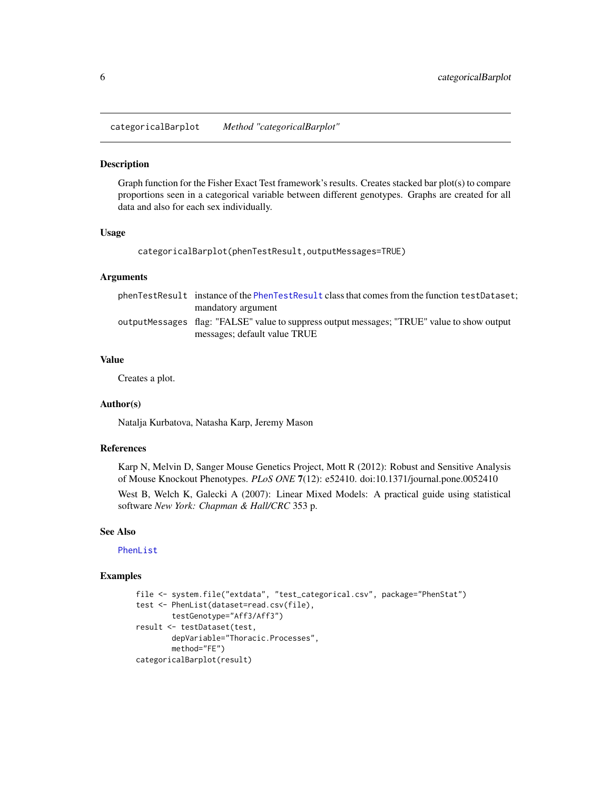<span id="page-5-0"></span>categoricalBarplot *Method "categoricalBarplot"*

## Description

Graph function for the Fisher Exact Test framework's results. Creates stacked bar plot(s) to compare proportions seen in a categorical variable between different genotypes. Graphs are created for all data and also for each sex individually.

#### Usage

```
categoricalBarplot(phenTestResult,outputMessages=TRUE)
```
#### Arguments

| phenTestResult instance of the PhenTestResult class that comes from the function testDataset;                               |
|-----------------------------------------------------------------------------------------------------------------------------|
| mandatory argument                                                                                                          |
| outputMessages flag: "FALSE" value to suppress output messages; "TRUE" value to show output<br>messages; default value TRUE |

## Value

Creates a plot.

## Author(s)

Natalja Kurbatova, Natasha Karp, Jeremy Mason

## References

Karp N, Melvin D, Sanger Mouse Genetics Project, Mott R (2012): Robust and Sensitive Analysis of Mouse Knockout Phenotypes. *PLoS ONE* 7(12): e52410. doi:10.1371/journal.pone.0052410

West B, Welch K, Galecki A (2007): Linear Mixed Models: A practical guide using statistical software *New York: Chapman & Hall/CRC* 353 p.

#### See Also

[PhenList](#page-18-1)

```
file <- system.file("extdata", "test_categorical.csv", package="PhenStat")
test <- PhenList(dataset=read.csv(file),
       testGenotype="Aff3/Aff3")
result <- testDataset(test,
       depVariable="Thoracic.Processes",
       method="FE")
categoricalBarplot(result)
```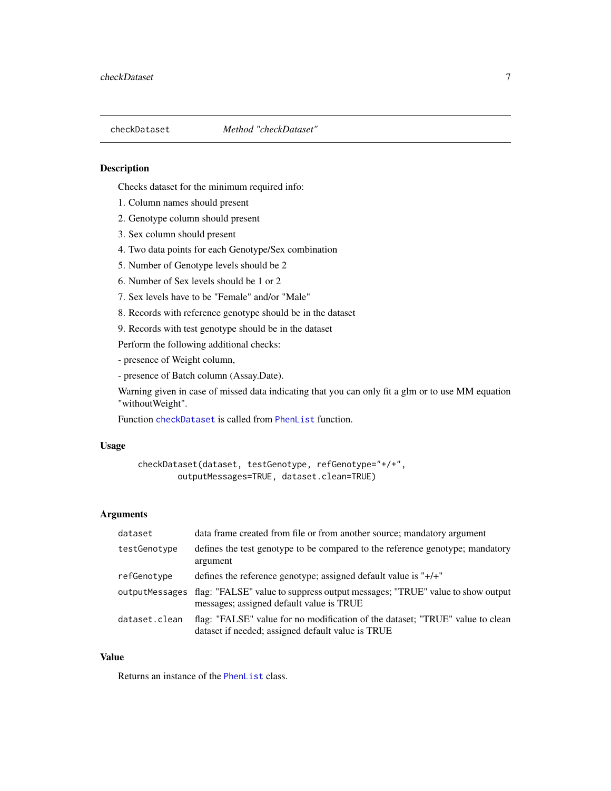<span id="page-6-1"></span><span id="page-6-0"></span>

#### Description

Checks dataset for the minimum required info:

- 1. Column names should present
- 2. Genotype column should present
- 3. Sex column should present
- 4. Two data points for each Genotype/Sex combination
- 5. Number of Genotype levels should be 2
- 6. Number of Sex levels should be 1 or 2
- 7. Sex levels have to be "Female" and/or "Male"
- 8. Records with reference genotype should be in the dataset

9. Records with test genotype should be in the dataset

Perform the following additional checks:

- presence of Weight column,
- presence of Batch column (Assay.Date).

Warning given in case of missed data indicating that you can only fit a glm or to use MM equation "withoutWeight".

Function [checkDataset](#page-6-1) is called from [PhenList](#page-16-1) function.

## Usage

```
checkDataset(dataset, testGenotype, refGenotype="+/+",
        outputMessages=TRUE, dataset.clean=TRUE)
```
#### Arguments

| dataset        | data frame created from file or from another source; mandatory argument                                                            |
|----------------|------------------------------------------------------------------------------------------------------------------------------------|
| testGenotype   | defines the test genotype to be compared to the reference genotype; mandatory<br>argument                                          |
| refGenotype    | defines the reference genotype; assigned default value is " $+/-$ "                                                                |
| outputMessages | flag: "FALSE" value to suppress output messages; "TRUE" value to show output<br>messages; assigned default value is TRUE           |
| dataset.clean  | flag: "FALSE" value for no modification of the dataset; "TRUE" value to clean<br>dataset if needed; assigned default value is TRUE |

## Value

Returns an instance of the [PhenList](#page-18-1) class.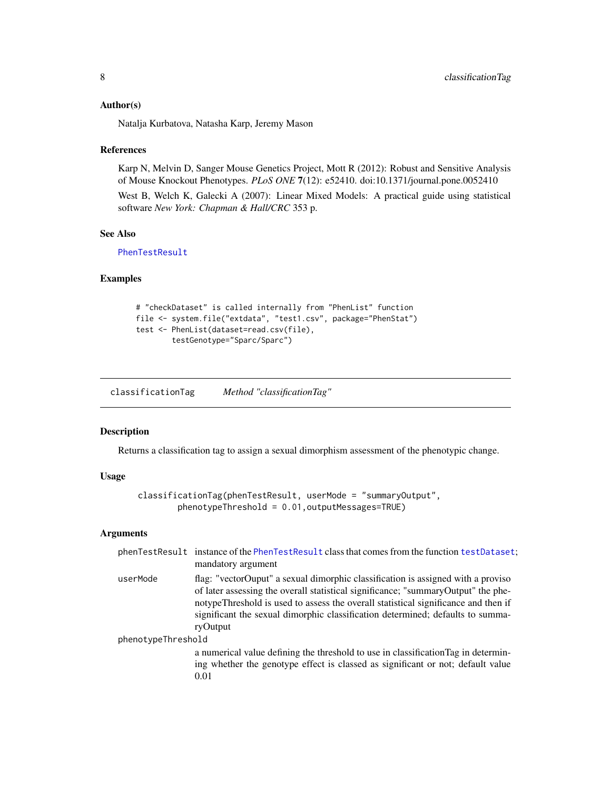#### <span id="page-7-0"></span>Author(s)

Natalja Kurbatova, Natasha Karp, Jeremy Mason

#### References

Karp N, Melvin D, Sanger Mouse Genetics Project, Mott R (2012): Robust and Sensitive Analysis of Mouse Knockout Phenotypes. *PLoS ONE* 7(12): e52410. doi:10.1371/journal.pone.0052410

West B, Welch K, Galecki A (2007): Linear Mixed Models: A practical guide using statistical software *New York: Chapman & Hall/CRC* 353 p.

#### See Also

[PhenTestResult](#page-21-1)

## Examples

```
# "checkDataset" is called internally from "PhenList" function
file <- system.file("extdata", "test1.csv", package="PhenStat")
test <- PhenList(dataset=read.csv(file),
        testGenotype="Sparc/Sparc")
```
classificationTag *Method "classificationTag"*

#### Description

Returns a classification tag to assign a sexual dimorphism assessment of the phenotypic change.

## Usage

```
classificationTag(phenTestResult, userMode = "summaryOutput",
        phenotypeThreshold = 0.01,outputMessages=TRUE)
```
## Arguments

|                    | phenTestResult instance of the PhenTestResult class that comes from the function testDataset;<br>mandatory argument                                                                                                                                                                                                                                       |
|--------------------|-----------------------------------------------------------------------------------------------------------------------------------------------------------------------------------------------------------------------------------------------------------------------------------------------------------------------------------------------------------|
| userMode           | flag: "vectorOuput" a sexual dimorphic classification is assigned with a proviso<br>of later assessing the overall statistical significance; "summaryOutput" the phe-<br>notypeThreshold is used to assess the overall statistical significance and then if<br>significant the sexual dimorphic classification determined; defaults to summa-<br>ryOutput |
| phenotypeThreshold |                                                                                                                                                                                                                                                                                                                                                           |
|                    | a numerical value defining the threshold to use in classification Tag in determin-<br>ing whether the genotype effect is classed as significant or not; default value<br>0.01                                                                                                                                                                             |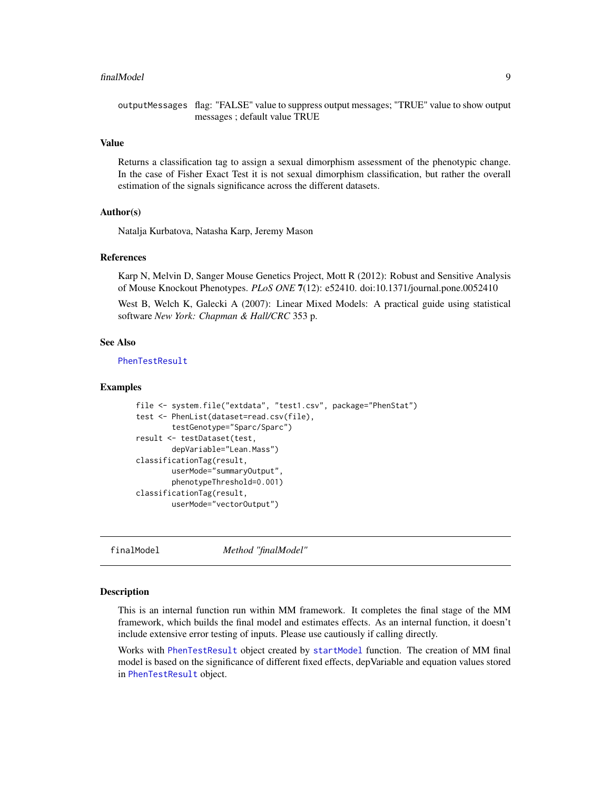#### <span id="page-8-0"></span>finalModel 9

outputMessages flag: "FALSE" value to suppress output messages; "TRUE" value to show output messages ; default value TRUE

## Value

Returns a classification tag to assign a sexual dimorphism assessment of the phenotypic change. In the case of Fisher Exact Test it is not sexual dimorphism classification, but rather the overall estimation of the signals significance across the different datasets.

## Author(s)

Natalja Kurbatova, Natasha Karp, Jeremy Mason

#### References

Karp N, Melvin D, Sanger Mouse Genetics Project, Mott R (2012): Robust and Sensitive Analysis of Mouse Knockout Phenotypes. *PLoS ONE* 7(12): e52410. doi:10.1371/journal.pone.0052410

West B, Welch K, Galecki A (2007): Linear Mixed Models: A practical guide using statistical software *New York: Chapman & Hall/CRC* 353 p.

#### See Also

## [PhenTestResult](#page-21-1)

#### Examples

```
file <- system.file("extdata", "test1.csv", package="PhenStat")
test <- PhenList(dataset=read.csv(file),
        testGenotype="Sparc/Sparc")
result <- testDataset(test,
        depVariable="Lean.Mass")
classificationTag(result,
        userMode="summaryOutput",
        phenotypeThreshold=0.001)
classificationTag(result,
        userMode="vectorOutput")
```
<span id="page-8-1"></span>finalModel *Method "finalModel"*

#### Description

This is an internal function run within MM framework. It completes the final stage of the MM framework, which builds the final model and estimates effects. As an internal function, it doesn't include extensive error testing of inputs. Please use cautiously if calling directly.

Works with [PhenTestResult](#page-21-1) object created by [startModel](#page-34-1) function. The creation of MM final model is based on the significance of different fixed effects, depVariable and equation values stored in [PhenTestResult](#page-21-1) object.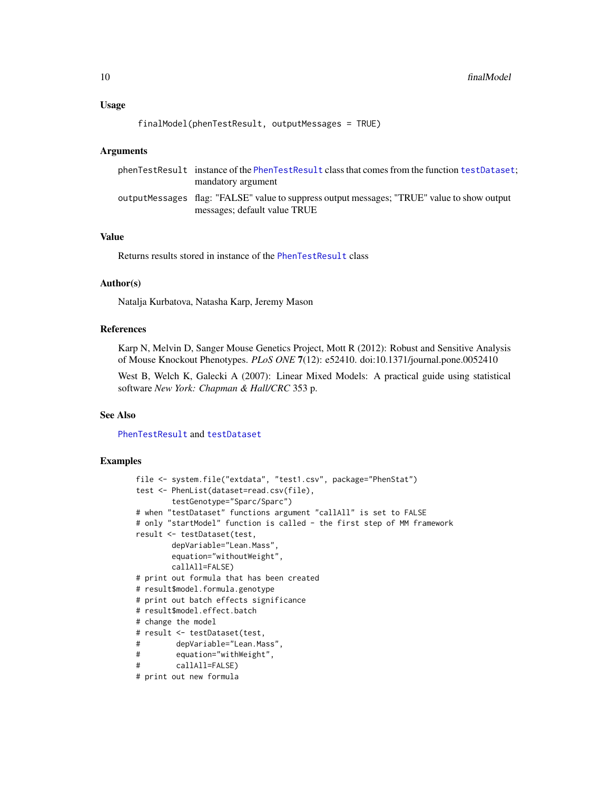## Usage

```
finalModel(phenTestResult, outputMessages = TRUE)
```
## Arguments

| phenTestResult instance of the PhenTestResult class that comes from the function testDataset.                                |
|------------------------------------------------------------------------------------------------------------------------------|
| mandatory argument                                                                                                           |
| output Messages flag: "FALSE" value to suppress output messages; "TRUE" value to show output<br>messages; default value TRUE |

## Value

Returns results stored in instance of the [PhenTestResult](#page-21-1) class

## Author(s)

Natalja Kurbatova, Natasha Karp, Jeremy Mason

#### References

Karp N, Melvin D, Sanger Mouse Genetics Project, Mott R (2012): Robust and Sensitive Analysis of Mouse Knockout Phenotypes. *PLoS ONE* 7(12): e52410. doi:10.1371/journal.pone.0052410

West B, Welch K, Galecki A (2007): Linear Mixed Models: A practical guide using statistical software *New York: Chapman & Hall/CRC* 353 p.

## See Also

[PhenTestResult](#page-21-1) and [testDataset](#page-39-1)

```
file <- system.file("extdata", "test1.csv", package="PhenStat")
test <- PhenList(dataset=read.csv(file),
       testGenotype="Sparc/Sparc")
# when "testDataset" functions argument "callAll" is set to FALSE
# only "startModel" function is called - the first step of MM framework
result <- testDataset(test,
       depVariable="Lean.Mass",
       equation="withoutWeight",
       callAll=FALSE)
# print out formula that has been created
# result$model.formula.genotype
# print out batch effects significance
# result$model.effect.batch
# change the model
# result <- testDataset(test,
# depVariable="Lean.Mass",
# equation="withWeight",
# callAll=FALSE)
# print out new formula
```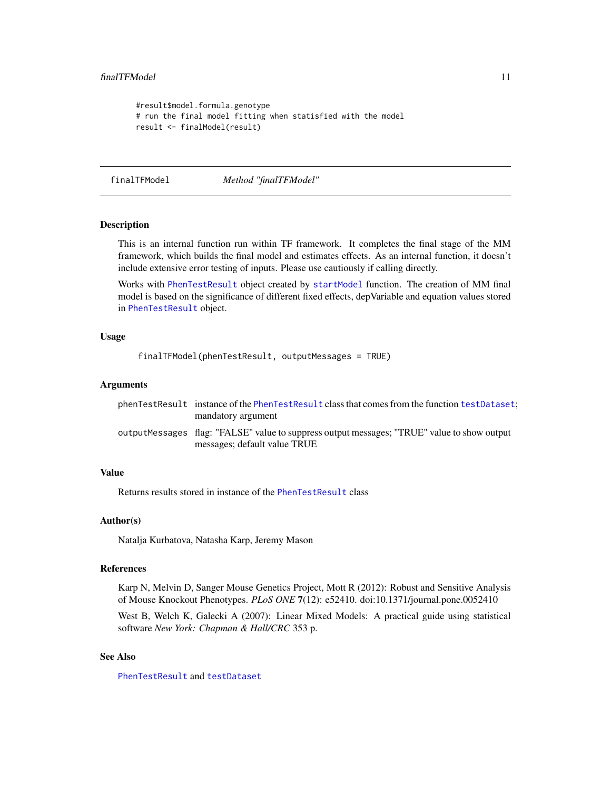```
#result$model.formula.genotype
# run the final model fitting when statisfied with the model
result <- finalModel(result)
```
finalTFModel *Method "finalTFModel"*

## Description

This is an internal function run within TF framework. It completes the final stage of the MM framework, which builds the final model and estimates effects. As an internal function, it doesn't include extensive error testing of inputs. Please use cautiously if calling directly.

Works with [PhenTestResult](#page-21-1) object created by [startModel](#page-34-1) function. The creation of MM final model is based on the significance of different fixed effects, depVariable and equation values stored in [PhenTestResult](#page-21-1) object.

#### Usage

```
finalTFModel(phenTestResult, outputMessages = TRUE)
```
#### Arguments

| phenTestResult instance of the PhenTestResult class that comes from the function testDataset. |
|-----------------------------------------------------------------------------------------------|
| mandatory argument                                                                            |
| outputMessages flag: "FALSE" value to suppress output messages; "TRUE" value to show output   |
| messages; default value TRUE                                                                  |

## Value

Returns results stored in instance of the [PhenTestResult](#page-21-1) class

#### Author(s)

Natalja Kurbatova, Natasha Karp, Jeremy Mason

## References

Karp N, Melvin D, Sanger Mouse Genetics Project, Mott R (2012): Robust and Sensitive Analysis of Mouse Knockout Phenotypes. *PLoS ONE* 7(12): e52410. doi:10.1371/journal.pone.0052410

West B, Welch K, Galecki A (2007): Linear Mixed Models: A practical guide using statistical software *New York: Chapman & Hall/CRC* 353 p.

## See Also

[PhenTestResult](#page-21-1) and [testDataset](#page-39-1)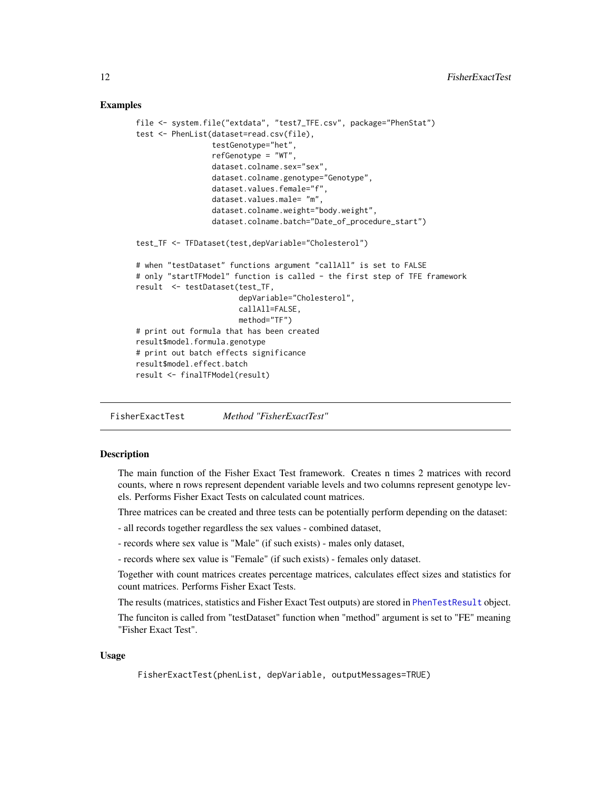## <span id="page-11-0"></span>Examples

```
file <- system.file("extdata", "test7_TFE.csv", package="PhenStat")
test <- PhenList(dataset=read.csv(file),
                 testGenotype="het",
                 refGenotype = "WT",
                 dataset.colname.sex="sex",
                 dataset.colname.genotype="Genotype",
                 dataset.values.female="f",
                 dataset.values.male= "m",
                 dataset.colname.weight="body.weight",
                 dataset.colname.batch="Date_of_procedure_start")
test_TF <- TFDataset(test,depVariable="Cholesterol")
# when "testDataset" functions argument "callAll" is set to FALSE
# only "startTFModel" function is called - the first step of TFE framework
result <- testDataset(test_TF,
                       depVariable="Cholesterol",
                       callAll=FALSE,
                       method="TF")
# print out formula that has been created
result$model.formula.genotype
# print out batch effects significance
result$model.effect.batch
result <- finalTFModel(result)
```
<span id="page-11-1"></span>FisherExactTest *Method "FisherExactTest"*

## **Description**

The main function of the Fisher Exact Test framework. Creates n times 2 matrices with record counts, where n rows represent dependent variable levels and two columns represent genotype levels. Performs Fisher Exact Tests on calculated count matrices.

Three matrices can be created and three tests can be potentially perform depending on the dataset:

- all records together regardless the sex values combined dataset,
- records where sex value is "Male" (if such exists) males only dataset,

- records where sex value is "Female" (if such exists) - females only dataset.

Together with count matrices creates percentage matrices, calculates effect sizes and statistics for count matrices. Performs Fisher Exact Tests.

The results (matrices, statistics and Fisher Exact Test outputs) are stored in [PhenTestResult](#page-21-1) object.

The funciton is called from "testDataset" function when "method" argument is set to "FE" meaning "Fisher Exact Test".

#### Usage

FisherExactTest(phenList, depVariable, outputMessages=TRUE)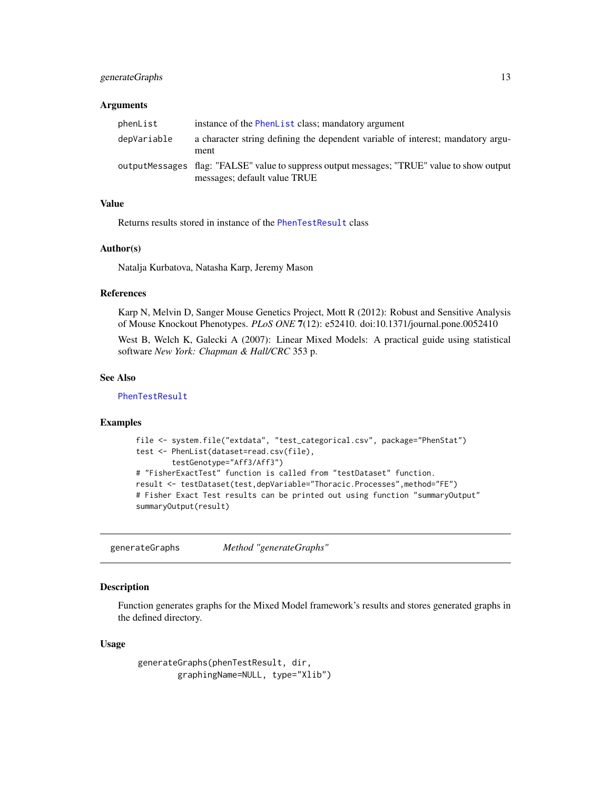## <span id="page-12-0"></span>generateGraphs 13

#### **Arguments**

| phenList    | instance of the PhenList class; mandatory argument                                                                           |
|-------------|------------------------------------------------------------------------------------------------------------------------------|
| depVariable | a character string defining the dependent variable of interest; mandatory argu-<br>ment                                      |
|             | output Messages flag: "FALSE" value to suppress output messages; "TRUE" value to show output<br>messages; default value TRUE |

## Value

Returns results stored in instance of the [PhenTestResult](#page-21-1) class

## Author(s)

Natalja Kurbatova, Natasha Karp, Jeremy Mason

## References

Karp N, Melvin D, Sanger Mouse Genetics Project, Mott R (2012): Robust and Sensitive Analysis of Mouse Knockout Phenotypes. *PLoS ONE* 7(12): e52410. doi:10.1371/journal.pone.0052410

West B, Welch K, Galecki A (2007): Linear Mixed Models: A practical guide using statistical software *New York: Chapman & Hall/CRC* 353 p.

#### See Also

[PhenTestResult](#page-21-1)

## Examples

```
file <- system.file("extdata", "test_categorical.csv", package="PhenStat")
test <- PhenList(dataset=read.csv(file),
        testGenotype="Aff3/Aff3")
# "FisherExactTest" function is called from "testDataset" function.
result <- testDataset(test,depVariable="Thoracic.Processes",method="FE")
# Fisher Exact Test results can be printed out using function "summaryOutput"
summaryOutput(result)
```
generateGraphs *Method "generateGraphs"*

## Description

Function generates graphs for the Mixed Model framework's results and stores generated graphs in the defined directory.

## Usage

```
generateGraphs(phenTestResult, dir,
        graphingName=NULL, type="Xlib")
```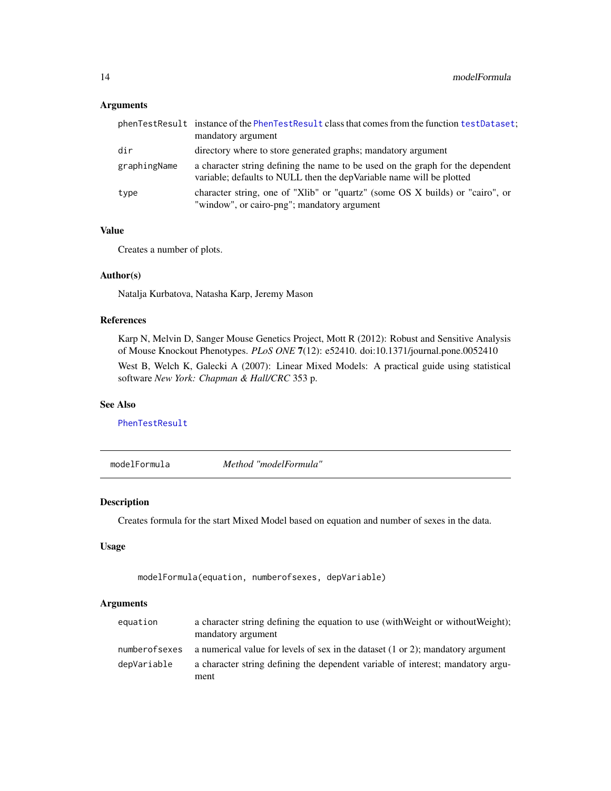## <span id="page-13-0"></span>Arguments

|              | phenTestResult instance of the PhenTestResult class that comes from the function testDataset;<br>mandatory argument                                     |
|--------------|---------------------------------------------------------------------------------------------------------------------------------------------------------|
| dir          | directory where to store generated graphs; mandatory argument                                                                                           |
| graphingName | a character string defining the name to be used on the graph for the dependent<br>variable; defaults to NULL then the dep Variable name will be plotted |
| type         | character string, one of "Xlib" or "quartz" (some OS X builds) or "cairo", or<br>"window", or cairo-png"; mandatory argument                            |

## Value

Creates a number of plots.

## Author(s)

Natalja Kurbatova, Natasha Karp, Jeremy Mason

## References

Karp N, Melvin D, Sanger Mouse Genetics Project, Mott R (2012): Robust and Sensitive Analysis of Mouse Knockout Phenotypes. *PLoS ONE* 7(12): e52410. doi:10.1371/journal.pone.0052410

West B, Welch K, Galecki A (2007): Linear Mixed Models: A practical guide using statistical software *New York: Chapman & Hall/CRC* 353 p.

## See Also

[PhenTestResult](#page-21-1)

modelFormula *Method "modelFormula"*

## Description

Creates formula for the start Mixed Model based on equation and number of sexes in the data.

## Usage

modelFormula(equation, numberofsexes, depVariable)

## Arguments

| equation      | a character string defining the equation to use (with Weight or without Weight);<br>mandatory argument |
|---------------|--------------------------------------------------------------------------------------------------------|
| numberofsexes | a numerical value for levels of sex in the dataset $(1 \text{ or } 2)$ ; mandatory argument            |
| depVariable   | a character string defining the dependent variable of interest; mandatory argu-                        |
|               | ment                                                                                                   |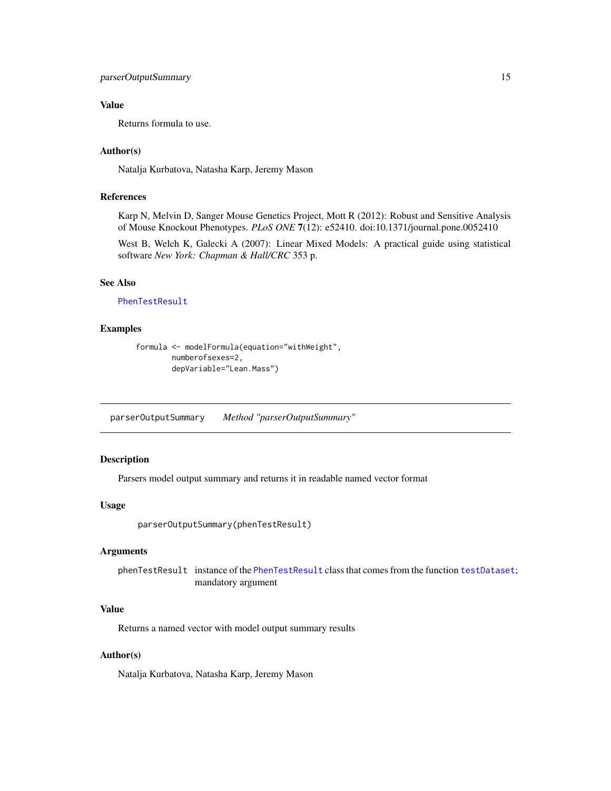## <span id="page-14-0"></span>Value

Returns formula to use.

## Author(s)

Natalja Kurbatova, Natasha Karp, Jeremy Mason

## References

Karp N, Melvin D, Sanger Mouse Genetics Project, Mott R (2012): Robust and Sensitive Analysis of Mouse Knockout Phenotypes. *PLoS ONE* 7(12): e52410. doi:10.1371/journal.pone.0052410

West B, Welch K, Galecki A (2007): Linear Mixed Models: A practical guide using statistical software *New York: Chapman & Hall/CRC* 353 p.

## See Also

[PhenTestResult](#page-21-1)

#### Examples

```
formula <- modelFormula(equation="withWeight",
        numberofsexes=2,
        depVariable="Lean.Mass")
```
parserOutputSummary *Method "parserOutputSummary"*

## Description

Parsers model output summary and returns it in readable named vector format

#### Usage

```
parserOutputSummary(phenTestResult)
```
## Arguments

phenTestResult instance of the [PhenTestResult](#page-21-1) class that comes from the function [testDataset](#page-39-1); mandatory argument

## Value

Returns a named vector with model output summary results

## Author(s)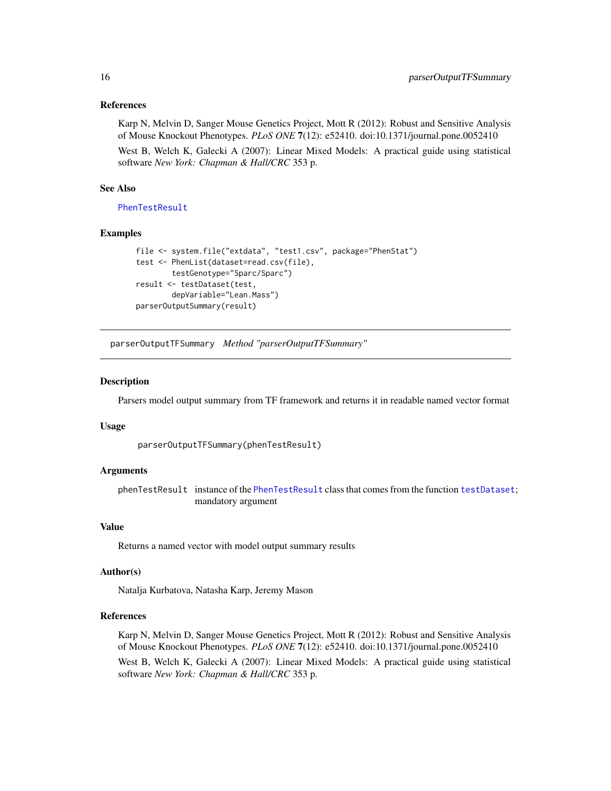<span id="page-15-0"></span>Karp N, Melvin D, Sanger Mouse Genetics Project, Mott R (2012): Robust and Sensitive Analysis of Mouse Knockout Phenotypes. *PLoS ONE* 7(12): e52410. doi:10.1371/journal.pone.0052410

West B, Welch K, Galecki A (2007): Linear Mixed Models: A practical guide using statistical software *New York: Chapman & Hall/CRC* 353 p.

## See Also

[PhenTestResult](#page-21-1)

#### Examples

```
file <- system.file("extdata", "test1.csv", package="PhenStat")
test <- PhenList(dataset=read.csv(file),
        testGenotype="Sparc/Sparc")
result <- testDataset(test,
        depVariable="Lean.Mass")
parserOutputSummary(result)
```
parserOutputTFSummary *Method "parserOutputTFSummary"*

#### Description

Parsers model output summary from TF framework and returns it in readable named vector format

#### Usage

parserOutputTFSummary(phenTestResult)

## Arguments

phenTestResult instance of the [PhenTestResult](#page-21-1) class that comes from the function [testDataset](#page-39-1); mandatory argument

## Value

Returns a named vector with model output summary results

#### Author(s)

Natalja Kurbatova, Natasha Karp, Jeremy Mason

## References

Karp N, Melvin D, Sanger Mouse Genetics Project, Mott R (2012): Robust and Sensitive Analysis of Mouse Knockout Phenotypes. *PLoS ONE* 7(12): e52410. doi:10.1371/journal.pone.0052410 West B, Welch K, Galecki A (2007): Linear Mixed Models: A practical guide using statistical software *New York: Chapman & Hall/CRC* 353 p.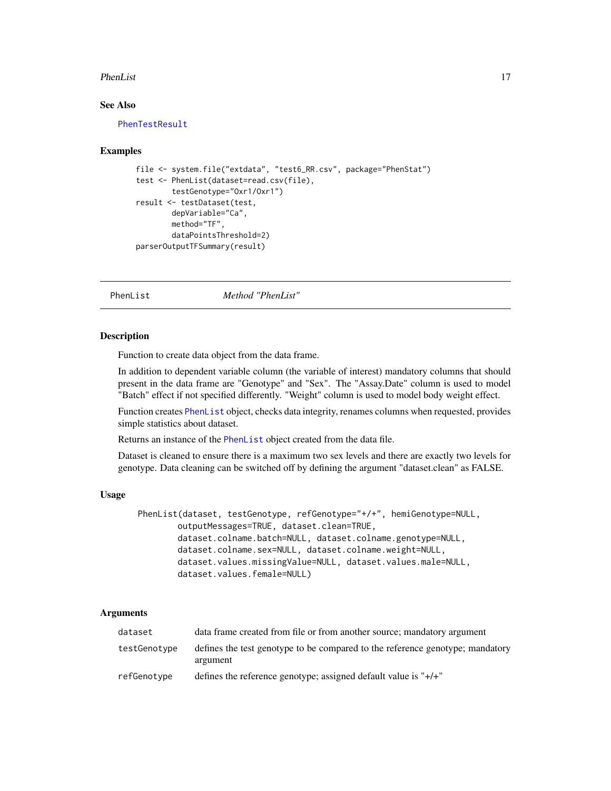#### <span id="page-16-0"></span>PhenList 17

## See Also

[PhenTestResult](#page-21-1)

#### Examples

```
file <- system.file("extdata", "test6_RR.csv", package="PhenStat")
test <- PhenList(dataset=read.csv(file),
       testGenotype="Oxr1/Oxr1")
result <- testDataset(test,
       depVariable="Ca",
       method="TF",
       dataPointsThreshold=2)
parserOutputTFSummary(result)
```
<span id="page-16-1"></span>PhenList *Method "PhenList"*

#### **Description**

Function to create data object from the data frame.

In addition to dependent variable column (the variable of interest) mandatory columns that should present in the data frame are "Genotype" and "Sex". The "Assay.Date" column is used to model "Batch" effect if not specified differently. "Weight" column is used to model body weight effect.

Function creates [PhenList](#page-18-1) object, checks data integrity, renames columns when requested, provides simple statistics about dataset.

Returns an instance of the [PhenList](#page-18-1) object created from the data file.

Dataset is cleaned to ensure there is a maximum two sex levels and there are exactly two levels for genotype. Data cleaning can be switched off by defining the argument "dataset.clean" as FALSE.

## Usage

```
PhenList(dataset, testGenotype, refGenotype="+/+", hemiGenotype=NULL,
        outputMessages=TRUE, dataset.clean=TRUE,
        dataset.colname.batch=NULL, dataset.colname.genotype=NULL,
        dataset.colname.sex=NULL, dataset.colname.weight=NULL,
        dataset.values.missingValue=NULL, dataset.values.male=NULL,
        dataset.values.female=NULL)
```
## Arguments

| dataset      | data frame created from file or from another source; mandatory argument                   |
|--------------|-------------------------------------------------------------------------------------------|
| testGenotype | defines the test genotype to be compared to the reference genotype; mandatory<br>argument |
| refGenotype  | defines the reference genotype; assigned default value is " $+/-$ "                       |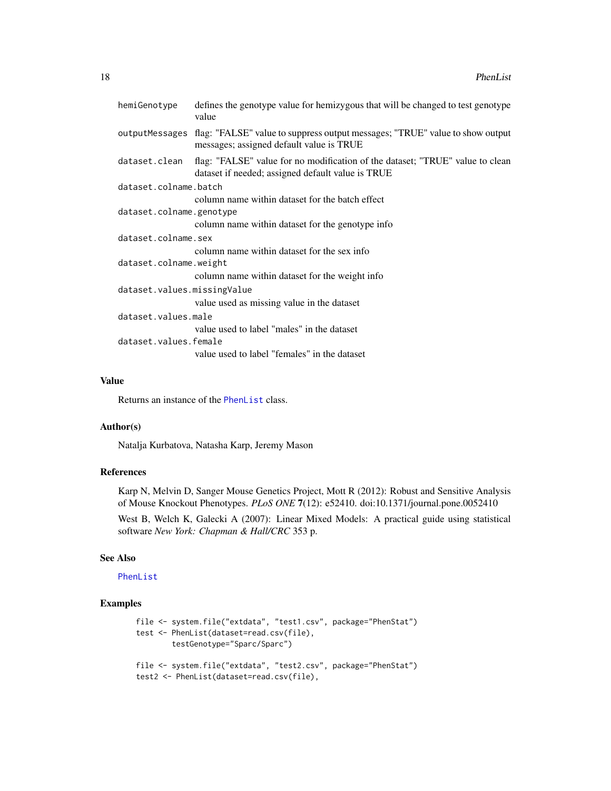|                             | hemiGenotype             | defines the genotype value for hemizygous that will be changed to test genotype<br>value                                                |
|-----------------------------|--------------------------|-----------------------------------------------------------------------------------------------------------------------------------------|
|                             |                          | outputMessages flag: "FALSE" value to suppress output messages; "TRUE" value to show output<br>messages; assigned default value is TRUE |
|                             | dataset.clean            | flag: "FALSE" value for no modification of the dataset; "TRUE" value to clean<br>dataset if needed; assigned default value is TRUE      |
|                             | dataset.colname.batch    |                                                                                                                                         |
|                             |                          | column name within dataset for the batch effect                                                                                         |
|                             | dataset.colname.genotype |                                                                                                                                         |
|                             |                          | column name within dataset for the genotype info                                                                                        |
|                             | dataset.colname.sex      |                                                                                                                                         |
|                             |                          | column name within dataset for the sex info                                                                                             |
| dataset.colname.weight      |                          |                                                                                                                                         |
|                             |                          | column name within dataset for the weight info                                                                                          |
| dataset.values.missingValue |                          |                                                                                                                                         |
|                             |                          | value used as missing value in the dataset                                                                                              |
|                             | dataset.values.male      |                                                                                                                                         |
|                             |                          | value used to label "males" in the dataset                                                                                              |
|                             | dataset.values.female    |                                                                                                                                         |
|                             |                          | value used to label "females" in the dataset                                                                                            |
|                             |                          |                                                                                                                                         |

## Value

Returns an instance of the [PhenList](#page-18-1) class.

#### Author(s)

Natalja Kurbatova, Natasha Karp, Jeremy Mason

## References

Karp N, Melvin D, Sanger Mouse Genetics Project, Mott R (2012): Robust and Sensitive Analysis of Mouse Knockout Phenotypes. *PLoS ONE* 7(12): e52410. doi:10.1371/journal.pone.0052410

West B, Welch K, Galecki A (2007): Linear Mixed Models: A practical guide using statistical software *New York: Chapman & Hall/CRC* 353 p.

## See Also

## [PhenList](#page-18-1)

```
file <- system.file("extdata", "test1.csv", package="PhenStat")
test <- PhenList(dataset=read.csv(file),
       testGenotype="Sparc/Sparc")
file <- system.file("extdata", "test2.csv", package="PhenStat")
test2 <- PhenList(dataset=read.csv(file),
```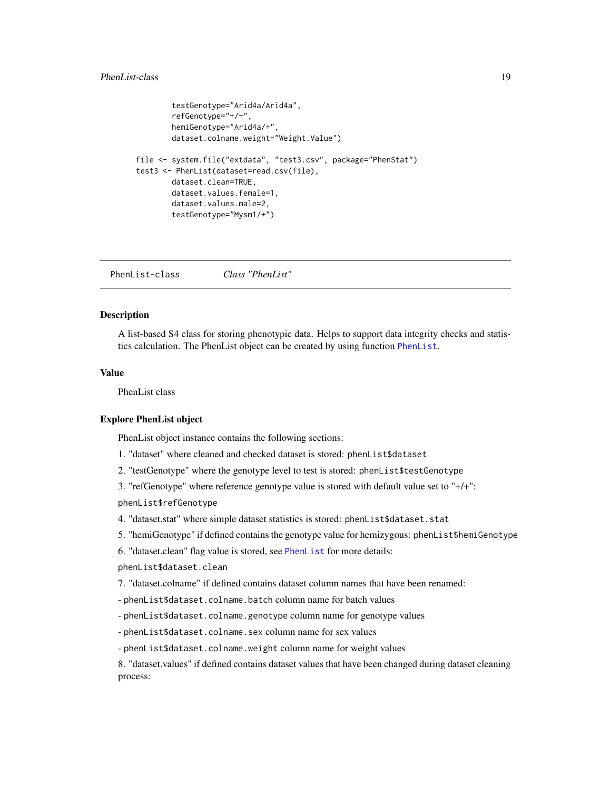## <span id="page-18-0"></span>PhenList-class 19

```
testGenotype="Arid4a/Arid4a",
        refGenotype="+/+",
        hemiGenotype="Arid4a/+",
        dataset.colname.weight="Weight.Value")
file <- system.file("extdata", "test3.csv", package="PhenStat")
test3 <- PhenList(dataset=read.csv(file),
        dataset.clean=TRUE,
        dataset.values.female=1,
        dataset.values.male=2,
        testGenotype="Mysm1/+")
```
<span id="page-18-1"></span>PhenList-class *Class "PhenList"*

#### **Description**

A list-based S4 class for storing phenotypic data. Helps to support data integrity checks and statistics calculation. The PhenList object can be created by using function [PhenList](#page-16-1).

## Value

PhenList class

#### Explore PhenList object

PhenList object instance contains the following sections:

- 1. "dataset" where cleaned and checked dataset is stored: phenList\$dataset
- 2. "testGenotype" where the genotype level to test is stored: phenList\$testGenotype

3. "refGenotype" where reference genotype value is stored with default value set to "+/+": phenList\$refGenotype

- 4. "dataset.stat" where simple dataset statistics is stored: phenList\$dataset.stat
- 5. "hemiGenotype" if defined contains the genotype value for hemizygous: phenList\$hemiGenotype
- 6. "dataset.clean" flag value is stored, see [PhenList](#page-16-1) for more details:

phenList\$dataset.clean

7. "dataset.colname" if defined contains dataset column names that have been renamed:

- phenList\$dataset.colname.batch column name for batch values

- phenList\$dataset.colname.genotype column name for genotype values

- phenList\$dataset.colname.sex column name for sex values

- phenList\$dataset.colname.weight column name for weight values

8. "dataset.values" if defined contains dataset values that have been changed during dataset cleaning process: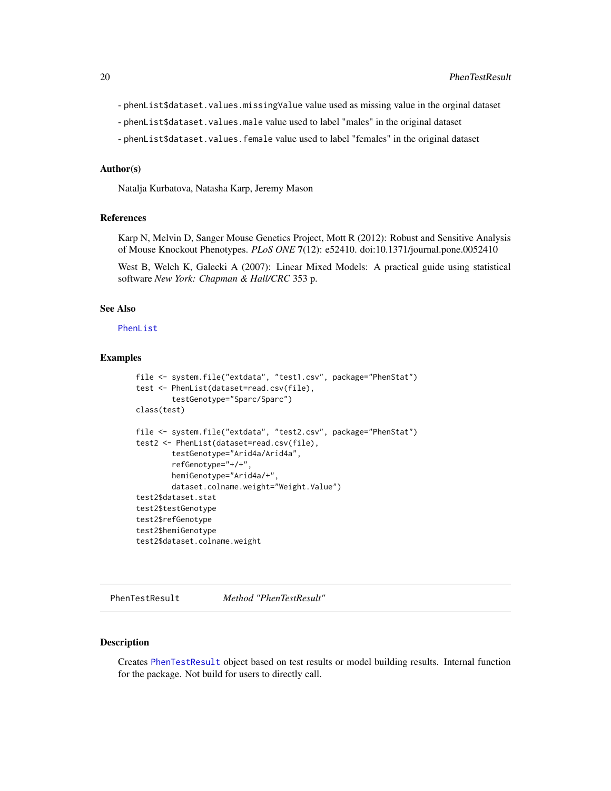- <span id="page-19-0"></span>- phenList\$dataset.values.missingValue value used as missing value in the orginal dataset
- phenList\$dataset.values.male value used to label "males" in the original dataset
- phenList\$dataset.values.female value used to label "females" in the original dataset

#### Author(s)

Natalja Kurbatova, Natasha Karp, Jeremy Mason

#### References

Karp N, Melvin D, Sanger Mouse Genetics Project, Mott R (2012): Robust and Sensitive Analysis of Mouse Knockout Phenotypes. *PLoS ONE* 7(12): e52410. doi:10.1371/journal.pone.0052410

West B, Welch K, Galecki A (2007): Linear Mixed Models: A practical guide using statistical software *New York: Chapman & Hall/CRC* 353 p.

#### See Also

[PhenList](#page-16-1)

#### Examples

```
file <- system.file("extdata", "test1.csv", package="PhenStat")
test <- PhenList(dataset=read.csv(file),
        testGenotype="Sparc/Sparc")
class(test)
file <- system.file("extdata", "test2.csv", package="PhenStat")
test2 <- PhenList(dataset=read.csv(file),
        testGenotype="Arid4a/Arid4a",
        refGenotype="+/+",
        hemiGenotype="Arid4a/+",
        dataset.colname.weight="Weight.Value")
test2$dataset.stat
test2$testGenotype
test2$refGenotype
test2$hemiGenotype
test2$dataset.colname.weight
```
<span id="page-19-1"></span>PhenTestResult *Method "PhenTestResult"*

## Description

Creates [PhenTestResult](#page-21-1) object based on test results or model building results. Internal function for the package. Not build for users to directly call.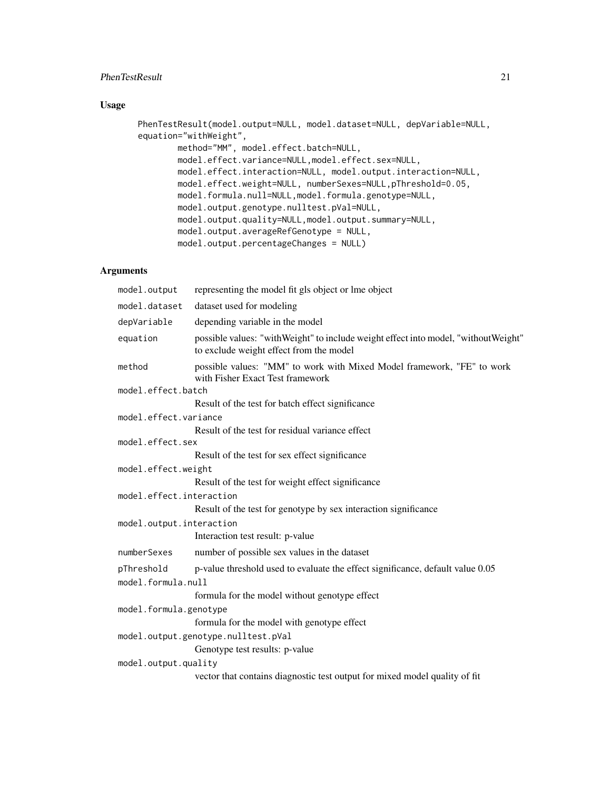## PhenTestResult 21

## Usage

```
PhenTestResult(model.output=NULL, model.dataset=NULL, depVariable=NULL,
equation="withWeight",
        method="MM", model.effect.batch=NULL,
        model.effect.variance=NULL,model.effect.sex=NULL,
        model.effect.interaction=NULL, model.output.interaction=NULL,
        model.effect.weight=NULL, numberSexes=NULL,pThreshold=0.05,
        model.formula.null=NULL,model.formula.genotype=NULL,
        model.output.genotype.nulltest.pVal=NULL,
        model.output.quality=NULL,model.output.summary=NULL,
        model.output.averageRefGenotype = NULL,
        model.output.percentageChanges = NULL)
```
## Arguments

| model.output             | representing the model fit gls object or lme object                                                                             |
|--------------------------|---------------------------------------------------------------------------------------------------------------------------------|
| model.dataset            | dataset used for modeling                                                                                                       |
| depVariable              | depending variable in the model                                                                                                 |
| equation                 | possible values: "with Weight" to include weight effect into model, "without Weight"<br>to exclude weight effect from the model |
| method                   | possible values: "MM" to work with Mixed Model framework, "FE" to work<br>with Fisher Exact Test framework                      |
| model.effect.batch       |                                                                                                                                 |
|                          | Result of the test for batch effect significance                                                                                |
| model.effect.variance    |                                                                                                                                 |
|                          | Result of the test for residual variance effect                                                                                 |
| model.effect.sex         |                                                                                                                                 |
|                          | Result of the test for sex effect significance                                                                                  |
| model.effect.weight      |                                                                                                                                 |
|                          | Result of the test for weight effect significance                                                                               |
| model.effect.interaction |                                                                                                                                 |
|                          | Result of the test for genotype by sex interaction significance                                                                 |
| model.output.interaction |                                                                                                                                 |
|                          | Interaction test result: p-value                                                                                                |
| numberSexes              | number of possible sex values in the dataset                                                                                    |
| pThreshold               | p-value threshold used to evaluate the effect significance, default value 0.05                                                  |
| model.formula.null       |                                                                                                                                 |
|                          | formula for the model without genotype effect                                                                                   |
| model.formula.genotype   |                                                                                                                                 |
|                          | formula for the model with genotype effect                                                                                      |
|                          | model.output.genotype.nulltest.pVal                                                                                             |
|                          | Genotype test results: p-value                                                                                                  |
| model.output.quality     |                                                                                                                                 |
|                          | vector that contains diagnostic test output for mixed model quality of fit                                                      |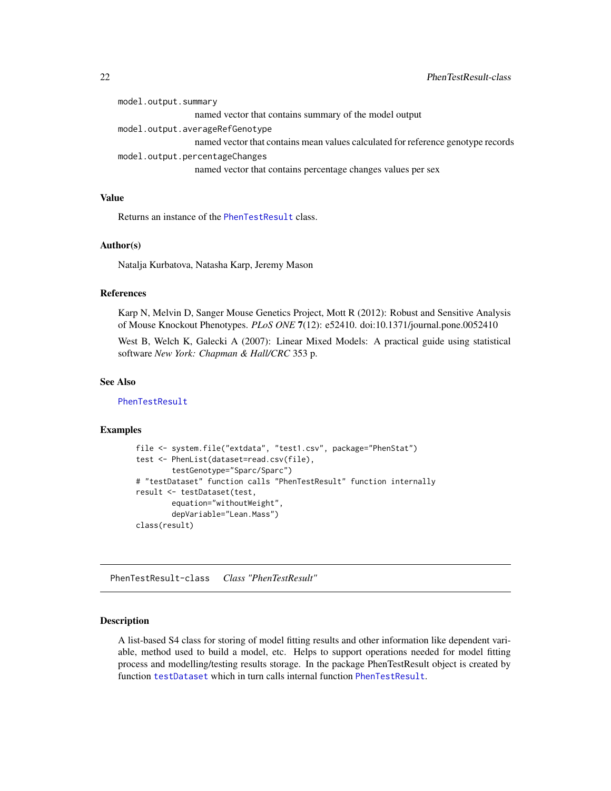<span id="page-21-0"></span>

| model.output.summary            |                                                                                  |  |
|---------------------------------|----------------------------------------------------------------------------------|--|
|                                 | named vector that contains summary of the model output                           |  |
| model.output.averageRefGenotype |                                                                                  |  |
|                                 | named vector that contains mean values calculated for reference genotype records |  |
|                                 | model.output.percentageChanges                                                   |  |
|                                 | named vector that contains percentage changes values per sex                     |  |

## Value

Returns an instance of the [PhenTestResult](#page-21-1) class.

#### Author(s)

Natalja Kurbatova, Natasha Karp, Jeremy Mason

#### References

Karp N, Melvin D, Sanger Mouse Genetics Project, Mott R (2012): Robust and Sensitive Analysis of Mouse Knockout Phenotypes. *PLoS ONE* 7(12): e52410. doi:10.1371/journal.pone.0052410

West B, Welch K, Galecki A (2007): Linear Mixed Models: A practical guide using statistical software *New York: Chapman & Hall/CRC* 353 p.

#### See Also

[PhenTestResult](#page-21-1)

#### Examples

```
file <- system.file("extdata", "test1.csv", package="PhenStat")
test <- PhenList(dataset=read.csv(file),
       testGenotype="Sparc/Sparc")
# "testDataset" function calls "PhenTestResult" function internally
result <- testDataset(test,
       equation="withoutWeight",
       depVariable="Lean.Mass")
class(result)
```
<span id="page-21-1"></span>PhenTestResult-class *Class "PhenTestResult"*

## Description

A list-based S4 class for storing of model fitting results and other information like dependent variable, method used to build a model, etc. Helps to support operations needed for model fitting process and modelling/testing results storage. In the package PhenTestResult object is created by function [testDataset](#page-39-1) which in turn calls internal function [PhenTestResult](#page-19-1).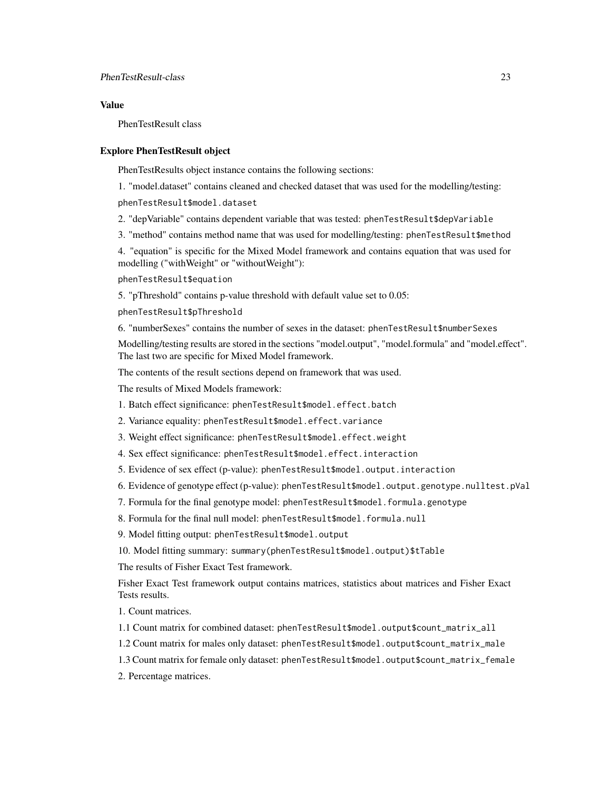## Value

PhenTestResult class

## Explore PhenTestResult object

PhenTestResults object instance contains the following sections:

1. "model.dataset" contains cleaned and checked dataset that was used for the modelling/testing:

phenTestResult\$model.dataset

2. "depVariable" contains dependent variable that was tested: phenTestResult\$depVariable

3. "method" contains method name that was used for modelling/testing: phenTestResult\$method

4. "equation" is specific for the Mixed Model framework and contains equation that was used for modelling ("withWeight" or "withoutWeight"):

phenTestResult\$equation

5. "pThreshold" contains p-value threshold with default value set to 0.05:

phenTestResult\$pThreshold

6. "numberSexes" contains the number of sexes in the dataset: phenTestResult\$numberSexes

Modelling/testing results are stored in the sections "model.output", "model.formula" and "model.effect". The last two are specific for Mixed Model framework.

The contents of the result sections depend on framework that was used.

The results of Mixed Models framework:

1. Batch effect significance: phenTestResult\$model.effect.batch

2. Variance equality: phenTestResult\$model.effect.variance

3. Weight effect significance: phenTestResult\$model.effect.weight

- 4. Sex effect significance: phenTestResult\$model.effect.interaction
- 5. Evidence of sex effect (p-value): phenTestResult\$model.output.interaction
- 6. Evidence of genotype effect (p-value): phenTestResult\$model.output.genotype.nulltest.pVal
- 7. Formula for the final genotype model: phenTestResult\$model.formula.genotype

8. Formula for the final null model: phenTestResult\$model.formula.null

9. Model fitting output: phenTestResult\$model.output

10. Model fitting summary: summary(phenTestResult\$model.output)\$tTable

The results of Fisher Exact Test framework.

Fisher Exact Test framework output contains matrices, statistics about matrices and Fisher Exact Tests results.

1. Count matrices.

1.1 Count matrix for combined dataset: phenTestResult\$model.output\$count\_matrix\_all

1.2 Count matrix for males only dataset: phenTestResult\$model.output\$count\_matrix\_male

1.3 Count matrix for female only dataset: phenTestResult\$model.output\$count\_matrix\_female

2. Percentage matrices.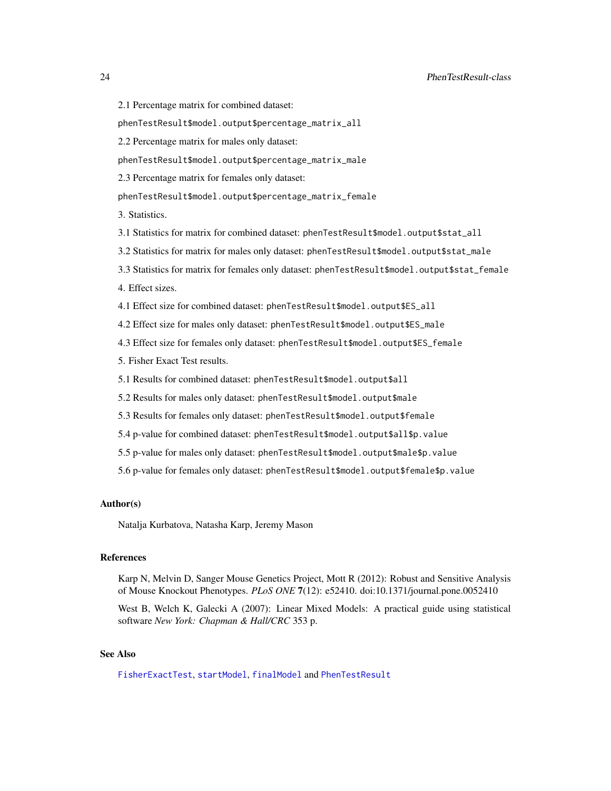- 2.1 Percentage matrix for combined dataset:
- phenTestResult\$model.output\$percentage\_matrix\_all
- 2.2 Percentage matrix for males only dataset:
- phenTestResult\$model.output\$percentage\_matrix\_male
- 2.3 Percentage matrix for females only dataset:
- phenTestResult\$model.output\$percentage\_matrix\_female
- 3. Statistics.
- 3.1 Statistics for matrix for combined dataset: phenTestResult\$model.output\$stat\_all
- 3.2 Statistics for matrix for males only dataset: phenTestResult\$model.output\$stat\_male
- 3.3 Statistics for matrix for females only dataset: phenTestResult\$model.output\$stat\_female
- 4. Effect sizes.
- 4.1 Effect size for combined dataset: phenTestResult\$model.output\$ES\_all
- 4.2 Effect size for males only dataset: phenTestResult\$model.output\$ES\_male
- 4.3 Effect size for females only dataset: phenTestResult\$model.output\$ES\_female
- 5. Fisher Exact Test results.
- 5.1 Results for combined dataset: phenTestResult\$model.output\$all
- 5.2 Results for males only dataset: phenTestResult\$model.output\$male
- 5.3 Results for females only dataset: phenTestResult\$model.output\$female
- 5.4 p-value for combined dataset: phenTestResult\$model.output\$all\$p.value
- 5.5 p-value for males only dataset: phenTestResult\$model.output\$male\$p.value
- 5.6 p-value for females only dataset: phenTestResult\$model.output\$female\$p.value

## Author(s)

Natalja Kurbatova, Natasha Karp, Jeremy Mason

## References

Karp N, Melvin D, Sanger Mouse Genetics Project, Mott R (2012): Robust and Sensitive Analysis of Mouse Knockout Phenotypes. *PLoS ONE* 7(12): e52410. doi:10.1371/journal.pone.0052410

West B, Welch K, Galecki A (2007): Linear Mixed Models: A practical guide using statistical software *New York: Chapman & Hall/CRC* 353 p.

## See Also

[FisherExactTest](#page-11-1), [startModel](#page-34-1), [finalModel](#page-8-1) and [PhenTestResult](#page-19-1)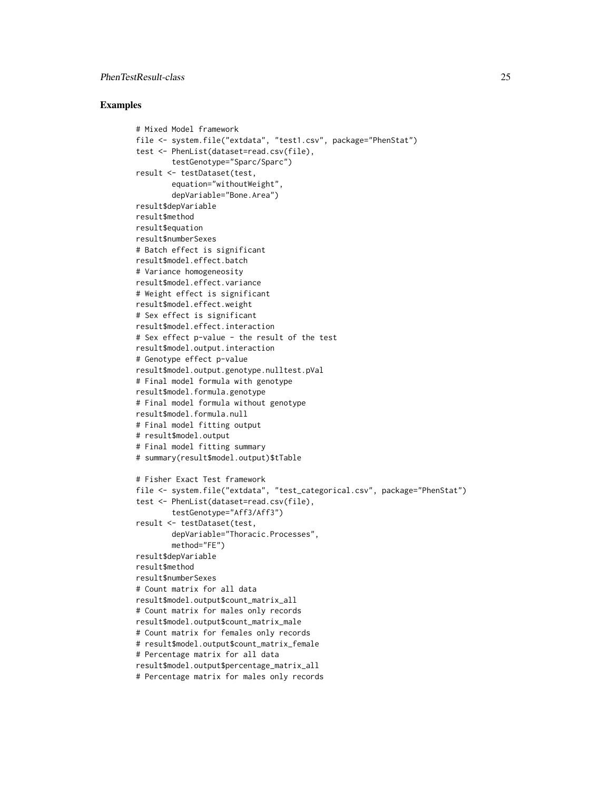## PhenTestResult-class 25

```
# Mixed Model framework
file <- system.file("extdata", "test1.csv", package="PhenStat")
test <- PhenList(dataset=read.csv(file),
        testGenotype="Sparc/Sparc")
result <- testDataset(test,
        equation="withoutWeight",
        depVariable="Bone.Area")
result$depVariable
result$method
result$equation
result$numberSexes
# Batch effect is significant
result$model.effect.batch
# Variance homogeneosity
result$model.effect.variance
# Weight effect is significant
result$model.effect.weight
# Sex effect is significant
result$model.effect.interaction
# Sex effect p-value - the result of the test
result$model.output.interaction
# Genotype effect p-value
result$model.output.genotype.nulltest.pVal
# Final model formula with genotype
result$model.formula.genotype
# Final model formula without genotype
result$model.formula.null
# Final model fitting output
# result$model.output
# Final model fitting summary
# summary(result$model.output)$tTable
# Fisher Exact Test framework
file <- system.file("extdata", "test_categorical.csv", package="PhenStat")
test <- PhenList(dataset=read.csv(file),
        testGenotype="Aff3/Aff3")
result <- testDataset(test,
        depVariable="Thoracic.Processes",
        method="FE")
result$depVariable
result$method
result$numberSexes
# Count matrix for all data
result$model.output$count_matrix_all
# Count matrix for males only records
result$model.output$count_matrix_male
# Count matrix for females only records
# result$model.output$count_matrix_female
# Percentage matrix for all data
result$model.output$percentage_matrix_all
# Percentage matrix for males only records
```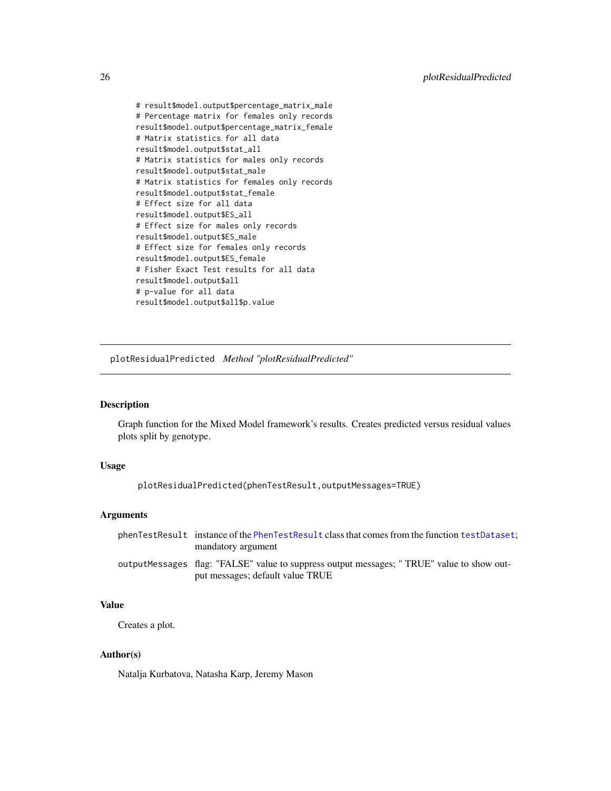<span id="page-25-0"></span># result\$model.output\$percentage\_matrix\_male # Percentage matrix for females only records result\$model.output\$percentage\_matrix\_female # Matrix statistics for all data result\$model.output\$stat\_all # Matrix statistics for males only records result\$model.output\$stat\_male # Matrix statistics for females only records result\$model.output\$stat\_female # Effect size for all data result\$model.output\$ES\_all # Effect size for males only records result\$model.output\$ES\_male # Effect size for females only records result\$model.output\$ES\_female # Fisher Exact Test results for all data result\$model.output\$all # p-value for all data result\$model.output\$all\$p.value

plotResidualPredicted *Method "plotResidualPredicted"*

## Description

Graph function for the Mixed Model framework's results. Creates predicted versus residual values plots split by genotype.

#### Usage

plotResidualPredicted(phenTestResult,outputMessages=TRUE)

#### Arguments

| phenTestResult instance of the PhenTestResult class that comes from the function testDataset. |
|-----------------------------------------------------------------------------------------------|
| mandatory argument                                                                            |
| outputMessages flag: "FALSE" value to suppress output messages; "TRUE" value to show out-     |
| put messages; default value TRUE                                                              |

## Value

Creates a plot.

## Author(s)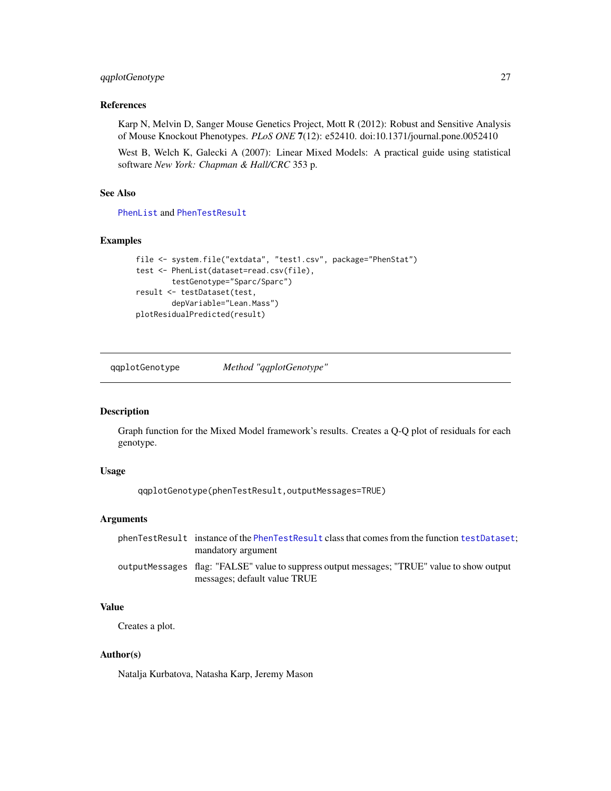## <span id="page-26-0"></span>qqplotGenotype 27

## References

Karp N, Melvin D, Sanger Mouse Genetics Project, Mott R (2012): Robust and Sensitive Analysis of Mouse Knockout Phenotypes. *PLoS ONE* 7(12): e52410. doi:10.1371/journal.pone.0052410

West B, Welch K, Galecki A (2007): Linear Mixed Models: A practical guide using statistical software *New York: Chapman & Hall/CRC* 353 p.

## See Also

[PhenList](#page-18-1) and [PhenTestResult](#page-21-1)

## Examples

```
file <- system.file("extdata", "test1.csv", package="PhenStat")
test <- PhenList(dataset=read.csv(file),
        testGenotype="Sparc/Sparc")
result <- testDataset(test,
        depVariable="Lean.Mass")
plotResidualPredicted(result)
```
qqplotGenotype *Method "qqplotGenotype"*

## Description

Graph function for the Mixed Model framework's results. Creates a Q-Q plot of residuals for each genotype.

#### Usage

qqplotGenotype(phenTestResult,outputMessages=TRUE)

#### Arguments

| phenTestResult instance of the PhenTestResult class that comes from the function testDataset; |
|-----------------------------------------------------------------------------------------------|
| mandatory argument                                                                            |
| output Messages flag: "FALSE" value to suppress output messages; "TRUE" value to show output  |
| messages; default value TRUE                                                                  |

## Value

Creates a plot.

## Author(s)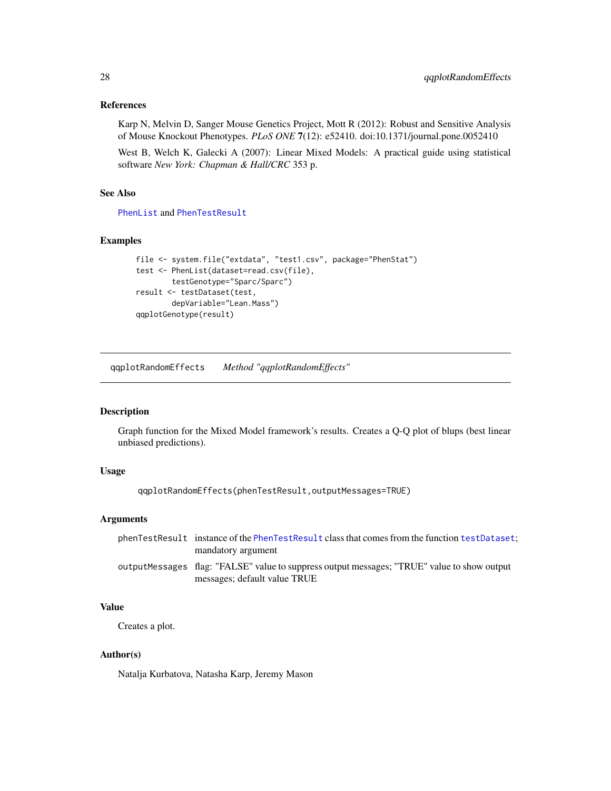<span id="page-27-0"></span>Karp N, Melvin D, Sanger Mouse Genetics Project, Mott R (2012): Robust and Sensitive Analysis of Mouse Knockout Phenotypes. *PLoS ONE* 7(12): e52410. doi:10.1371/journal.pone.0052410

West B, Welch K, Galecki A (2007): Linear Mixed Models: A practical guide using statistical software *New York: Chapman & Hall/CRC* 353 p.

## See Also

[PhenList](#page-18-1) and [PhenTestResult](#page-21-1)

## Examples

```
file <- system.file("extdata", "test1.csv", package="PhenStat")
test <- PhenList(dataset=read.csv(file),
        testGenotype="Sparc/Sparc")
result <- testDataset(test,
       depVariable="Lean.Mass")
qqplotGenotype(result)
```
qqplotRandomEffects *Method "qqplotRandomEffects"*

## Description

Graph function for the Mixed Model framework's results. Creates a Q-Q plot of blups (best linear unbiased predictions).

#### Usage

```
qqplotRandomEffects(phenTestResult,outputMessages=TRUE)
```
## Arguments

| phenTestResult instance of the PhenTestResult class that comes from the function testDataset; |
|-----------------------------------------------------------------------------------------------|
| mandatory argument                                                                            |
| outputMessages flag: "FALSE" value to suppress output messages; "TRUE" value to show output   |
| messages; default value TRUE                                                                  |

## Value

Creates a plot.

## Author(s)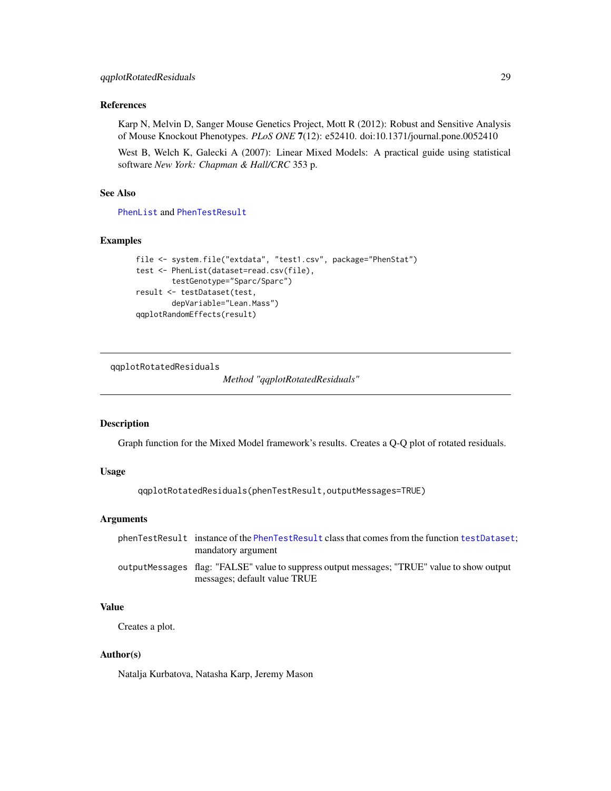<span id="page-28-0"></span>Karp N, Melvin D, Sanger Mouse Genetics Project, Mott R (2012): Robust and Sensitive Analysis of Mouse Knockout Phenotypes. *PLoS ONE* 7(12): e52410. doi:10.1371/journal.pone.0052410

West B, Welch K, Galecki A (2007): Linear Mixed Models: A practical guide using statistical software *New York: Chapman & Hall/CRC* 353 p.

## See Also

[PhenList](#page-18-1) and [PhenTestResult](#page-21-1)

## Examples

```
file <- system.file("extdata", "test1.csv", package="PhenStat")
test <- PhenList(dataset=read.csv(file),
       testGenotype="Sparc/Sparc")
result <- testDataset(test,
       depVariable="Lean.Mass")
qqplotRandomEffects(result)
```
qqplotRotatedResiduals

*Method "qqplotRotatedResiduals"*

## Description

Graph function for the Mixed Model framework's results. Creates a Q-Q plot of rotated residuals.

## Usage

```
qqplotRotatedResiduals(phenTestResult,outputMessages=TRUE)
```
## Arguments

| phenTestResult instance of the PhenTestResult class that comes from the function testDataset. |
|-----------------------------------------------------------------------------------------------|
| mandatory argument                                                                            |
| output Messages flag: "FALSE" value to suppress output messages; "TRUE" value to show output  |
| messages; default value TRUE                                                                  |

## Value

Creates a plot.

## Author(s)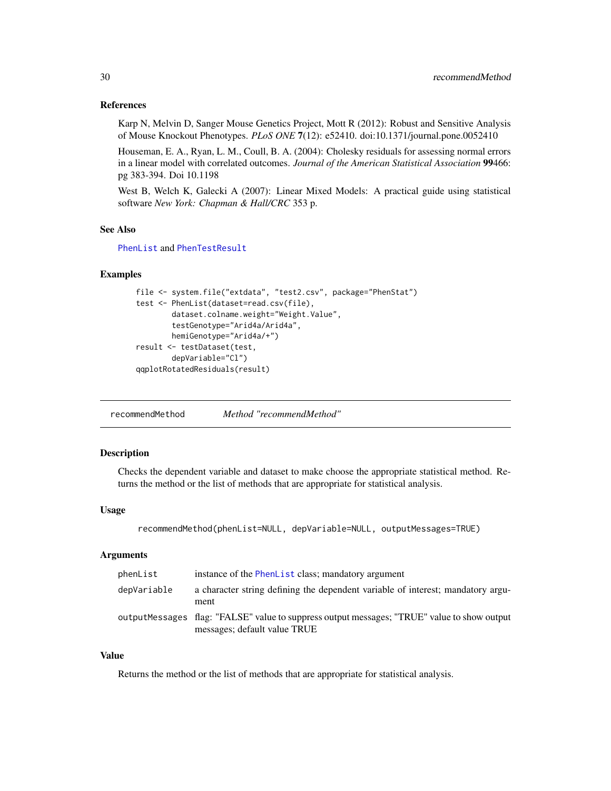<span id="page-29-0"></span>Karp N, Melvin D, Sanger Mouse Genetics Project, Mott R (2012): Robust and Sensitive Analysis of Mouse Knockout Phenotypes. *PLoS ONE* 7(12): e52410. doi:10.1371/journal.pone.0052410

Houseman, E. A., Ryan, L. M., Coull, B. A. (2004): Cholesky residuals for assessing normal errors in a linear model with correlated outcomes. *Journal of the American Statistical Association* 99466: pg 383-394. Doi 10.1198

West B, Welch K, Galecki A (2007): Linear Mixed Models: A practical guide using statistical software *New York: Chapman & Hall/CRC* 353 p.

## See Also

[PhenList](#page-18-1) and [PhenTestResult](#page-21-1)

## Examples

```
file <- system.file("extdata", "test2.csv", package="PhenStat")
test <- PhenList(dataset=read.csv(file),
        dataset.colname.weight="Weight.Value",
        testGenotype="Arid4a/Arid4a",
        hemiGenotype="Arid4a/+")
result <- testDataset(test,
        depVariable="Cl")
qqplotRotatedResiduals(result)
```
recommendMethod *Method "recommendMethod"*

## **Description**

Checks the dependent variable and dataset to make choose the appropriate statistical method. Returns the method or the list of methods that are appropriate for statistical analysis.

## Usage

```
recommendMethod(phenList=NULL, depVariable=NULL, outputMessages=TRUE)
```
#### Arguments

| phenList    | instance of the PhenList class; mandatory argument                                                                          |
|-------------|-----------------------------------------------------------------------------------------------------------------------------|
| depVariable | a character string defining the dependent variable of interest; mandatory argu-<br>ment                                     |
|             | outputMessages flag: "FALSE" value to suppress output messages; "TRUE" value to show output<br>messages; default value TRUE |

## Value

Returns the method or the list of methods that are appropriate for statistical analysis.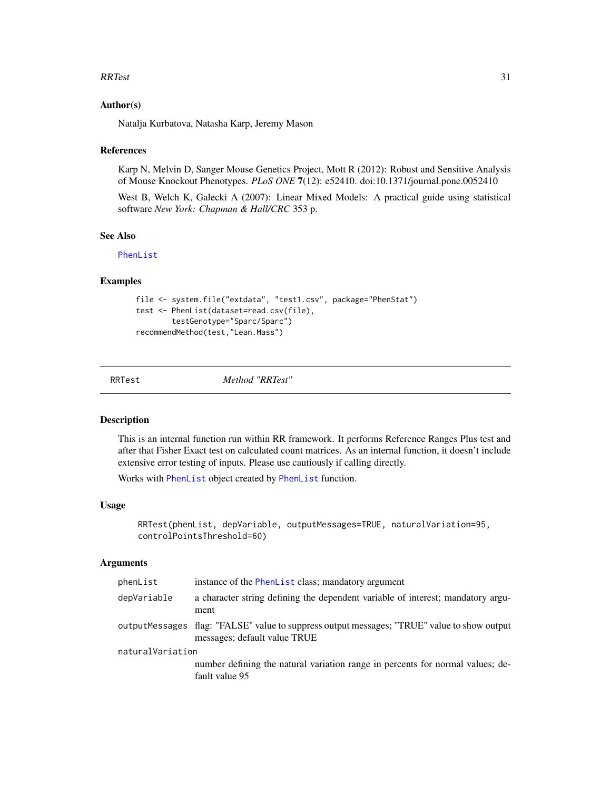#### <span id="page-30-0"></span> $RRTest$  31

## Author(s)

Natalja Kurbatova, Natasha Karp, Jeremy Mason

#### References

Karp N, Melvin D, Sanger Mouse Genetics Project, Mott R (2012): Robust and Sensitive Analysis of Mouse Knockout Phenotypes. *PLoS ONE* 7(12): e52410. doi:10.1371/journal.pone.0052410

West B, Welch K, Galecki A (2007): Linear Mixed Models: A practical guide using statistical software *New York: Chapman & Hall/CRC* 353 p.

## See Also

[PhenList](#page-18-1)

#### Examples

```
file <- system.file("extdata", "test1.csv", package="PhenStat")
test <- PhenList(dataset=read.csv(file),
        testGenotype="Sparc/Sparc")
recommendMethod(test,"Lean.Mass")
```
RRTest *Method "RRTest"*

## Description

This is an internal function run within RR framework. It performs Reference Ranges Plus test and after that Fisher Exact test on calculated count matrices. As an internal function, it doesn't include extensive error testing of inputs. Please use cautiously if calling directly.

Works with [PhenList](#page-18-1) object created by [PhenList](#page-16-1) function.

#### Usage

```
RRTest(phenList, depVariable, outputMessages=TRUE, naturalVariation=95,
controlPointsThreshold=60)
```
#### Arguments

| phenList         | instance of the PhenList class; mandatory argument                                                                          |  |
|------------------|-----------------------------------------------------------------------------------------------------------------------------|--|
| depVariable      | a character string defining the dependent variable of interest; mandatory argu-<br>ment                                     |  |
|                  | outputMessages flag: "FALSE" value to suppress output messages; "TRUE" value to show output<br>messages; default value TRUE |  |
| naturalVariation |                                                                                                                             |  |
|                  | number defining the natural variation range in percents for normal values; de-<br>fault value 95                            |  |
|                  |                                                                                                                             |  |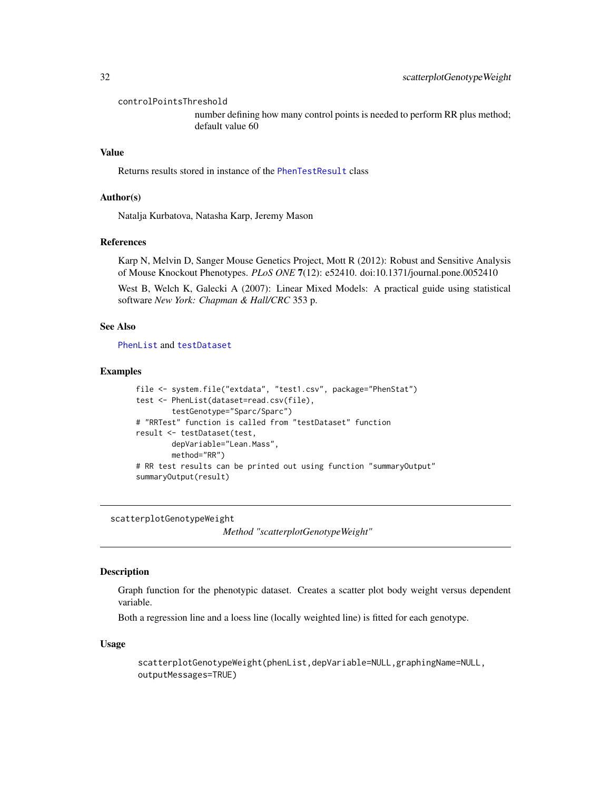<span id="page-31-0"></span>controlPointsThreshold

number defining how many control points is needed to perform RR plus method; default value 60

## Value

Returns results stored in instance of the [PhenTestResult](#page-21-1) class

#### Author(s)

Natalja Kurbatova, Natasha Karp, Jeremy Mason

## References

Karp N, Melvin D, Sanger Mouse Genetics Project, Mott R (2012): Robust and Sensitive Analysis of Mouse Knockout Phenotypes. *PLoS ONE* 7(12): e52410. doi:10.1371/journal.pone.0052410

West B, Welch K, Galecki A (2007): Linear Mixed Models: A practical guide using statistical software *New York: Chapman & Hall/CRC* 353 p.

## See Also

[PhenList](#page-18-1) and [testDataset](#page-39-1)

#### Examples

```
file <- system.file("extdata", "test1.csv", package="PhenStat")
test <- PhenList(dataset=read.csv(file),
       testGenotype="Sparc/Sparc")
# "RRTest" function is called from "testDataset" function
result <- testDataset(test,
       depVariable="Lean.Mass",
       method="RR")
# RR test results can be printed out using function "summaryOutput"
summaryOutput(result)
```
scatterplotGenotypeWeight

*Method "scatterplotGenotypeWeight"*

## Description

Graph function for the phenotypic dataset. Creates a scatter plot body weight versus dependent variable.

Both a regression line and a loess line (locally weighted line) is fitted for each genotype.

#### Usage

scatterplotGenotypeWeight(phenList,depVariable=NULL,graphingName=NULL, outputMessages=TRUE)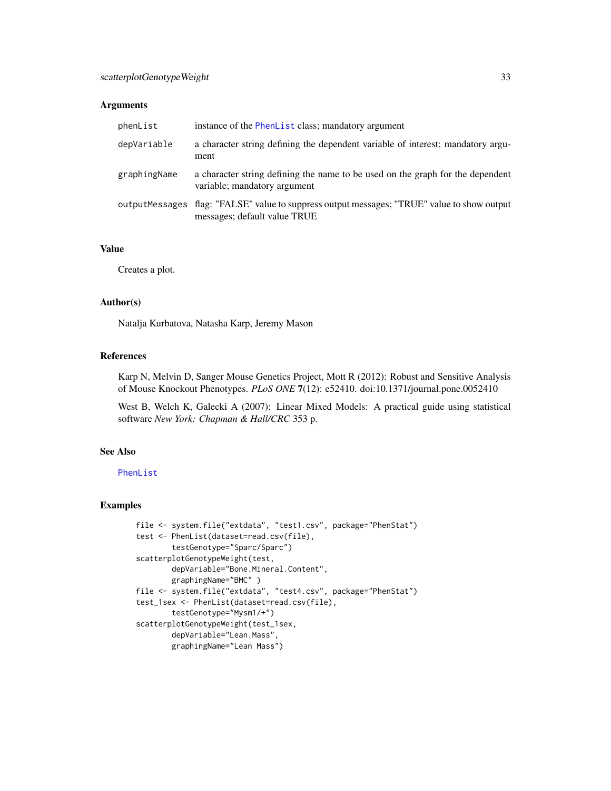## Arguments

| phenList     | instance of the PhenList class; mandatory argument                                                                          |
|--------------|-----------------------------------------------------------------------------------------------------------------------------|
| depVariable  | a character string defining the dependent variable of interest; mandatory argu-<br>ment                                     |
| graphingName | a character string defining the name to be used on the graph for the dependent<br>variable; mandatory argument              |
|              | outputMessages flag: "FALSE" value to suppress output messages; "TRUE" value to show output<br>messages; default value TRUE |

## Value

Creates a plot.

## Author(s)

Natalja Kurbatova, Natasha Karp, Jeremy Mason

## References

Karp N, Melvin D, Sanger Mouse Genetics Project, Mott R (2012): Robust and Sensitive Analysis of Mouse Knockout Phenotypes. *PLoS ONE* 7(12): e52410. doi:10.1371/journal.pone.0052410

West B, Welch K, Galecki A (2007): Linear Mixed Models: A practical guide using statistical software *New York: Chapman & Hall/CRC* 353 p.

## See Also

[PhenList](#page-18-1)

```
file <- system.file("extdata", "test1.csv", package="PhenStat")
test <- PhenList(dataset=read.csv(file),
        testGenotype="Sparc/Sparc")
scatterplotGenotypeWeight(test,
        depVariable="Bone.Mineral.Content",
        graphingName="BMC" )
file <- system.file("extdata", "test4.csv", package="PhenStat")
test_1sex <- PhenList(dataset=read.csv(file),
       testGenotype="Mysm1/+")
scatterplotGenotypeWeight(test_1sex,
        depVariable="Lean.Mass",
        graphingName="Lean Mass")
```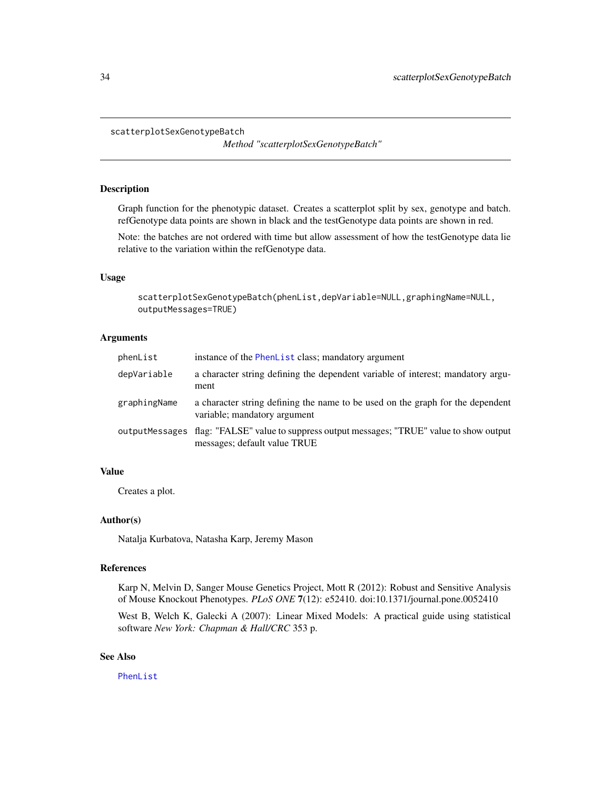```
scatterplotSexGenotypeBatch
```
*Method "scatterplotSexGenotypeBatch"*

#### Description

Graph function for the phenotypic dataset. Creates a scatterplot split by sex, genotype and batch. refGenotype data points are shown in black and the testGenotype data points are shown in red.

Note: the batches are not ordered with time but allow assessment of how the testGenotype data lie relative to the variation within the refGenotype data.

## Usage

scatterplotSexGenotypeBatch(phenList,depVariable=NULL,graphingName=NULL, outputMessages=TRUE)

## Arguments

| phenList     | instance of the PhenList class; mandatory argument                                                                          |
|--------------|-----------------------------------------------------------------------------------------------------------------------------|
| depVariable  | a character string defining the dependent variable of interest; mandatory argu-<br>ment                                     |
| graphingName | a character string defining the name to be used on the graph for the dependent<br>variable; mandatory argument              |
|              | outputMessages flag: "FALSE" value to suppress output messages; "TRUE" value to show output<br>messages; default value TRUE |

## Value

Creates a plot.

#### Author(s)

Natalja Kurbatova, Natasha Karp, Jeremy Mason

## References

Karp N, Melvin D, Sanger Mouse Genetics Project, Mott R (2012): Robust and Sensitive Analysis of Mouse Knockout Phenotypes. *PLoS ONE* 7(12): e52410. doi:10.1371/journal.pone.0052410

West B, Welch K, Galecki A (2007): Linear Mixed Models: A practical guide using statistical software *New York: Chapman & Hall/CRC* 353 p.

## See Also

[PhenList](#page-18-1)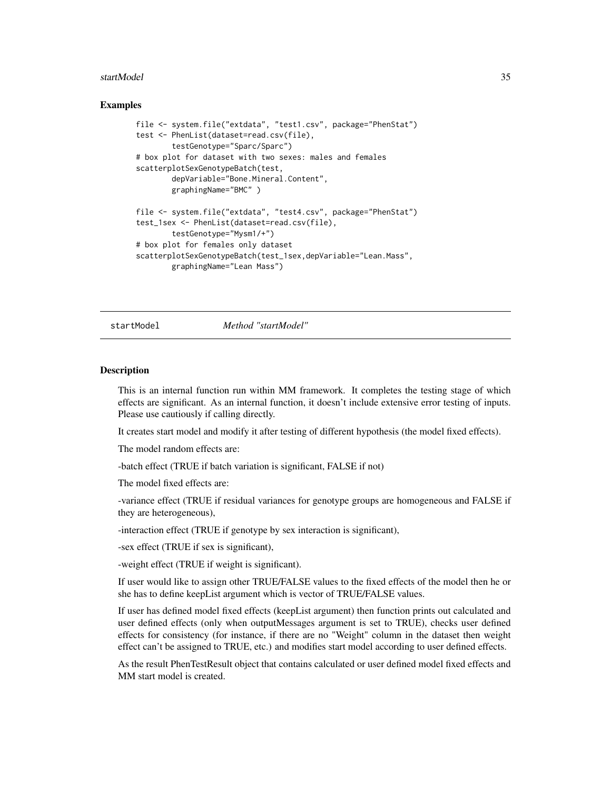#### <span id="page-34-0"></span>startModel 35

#### Examples

```
file <- system.file("extdata", "test1.csv", package="PhenStat")
test <- PhenList(dataset=read.csv(file),
       testGenotype="Sparc/Sparc")
# box plot for dataset with two sexes: males and females
scatterplotSexGenotypeBatch(test,
       depVariable="Bone.Mineral.Content",
       graphingName="BMC" )
file <- system.file("extdata", "test4.csv", package="PhenStat")
test_1sex <- PhenList(dataset=read.csv(file),
       testGenotype="Mysm1/+")
# box plot for females only dataset
scatterplotSexGenotypeBatch(test_1sex,depVariable="Lean.Mass",
       graphingName="Lean Mass")
```
<span id="page-34-1"></span>startModel *Method "startModel"*

#### **Description**

This is an internal function run within MM framework. It completes the testing stage of which effects are significant. As an internal function, it doesn't include extensive error testing of inputs. Please use cautiously if calling directly.

It creates start model and modify it after testing of different hypothesis (the model fixed effects).

The model random effects are:

-batch effect (TRUE if batch variation is significant, FALSE if not)

The model fixed effects are:

-variance effect (TRUE if residual variances for genotype groups are homogeneous and FALSE if they are heterogeneous),

-interaction effect (TRUE if genotype by sex interaction is significant),

-sex effect (TRUE if sex is significant),

-weight effect (TRUE if weight is significant).

If user would like to assign other TRUE/FALSE values to the fixed effects of the model then he or she has to define keepList argument which is vector of TRUE/FALSE values.

If user has defined model fixed effects (keepList argument) then function prints out calculated and user defined effects (only when outputMessages argument is set to TRUE), checks user defined effects for consistency (for instance, if there are no "Weight" column in the dataset then weight effect can't be assigned to TRUE, etc.) and modifies start model according to user defined effects.

As the result PhenTestResult object that contains calculated or user defined model fixed effects and MM start model is created.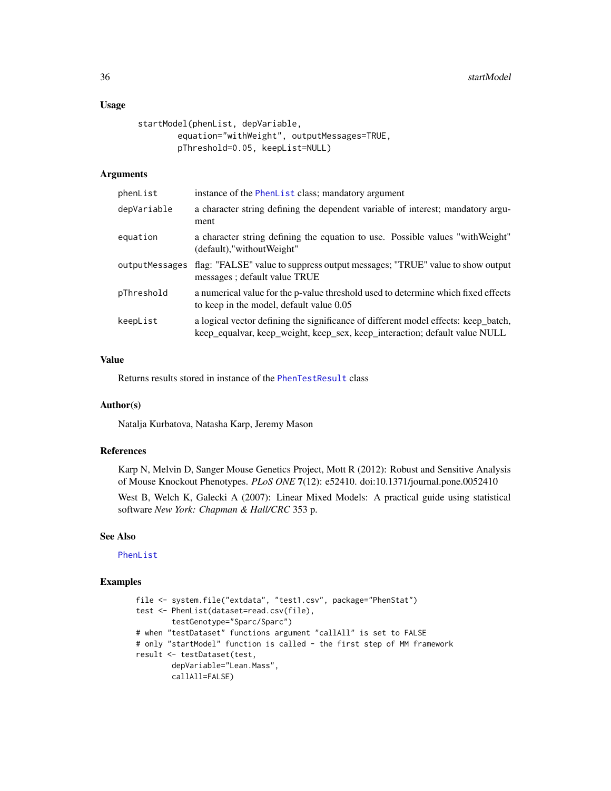#### Usage

```
startModel(phenList, depVariable,
       equation="withWeight", outputMessages=TRUE,
       pThreshold=0.05, keepList=NULL)
```
## Arguments

| phenList       | instance of the PhenList class; mandatory argument                                                                                                               |
|----------------|------------------------------------------------------------------------------------------------------------------------------------------------------------------|
| depVariable    | a character string defining the dependent variable of interest; mandatory argu-<br>ment                                                                          |
| equation       | a character string defining the equation to use. Possible values "with Weight"<br>(default),"withoutWeight"                                                      |
| outputMessages | flag: "FALSE" value to suppress output messages; "TRUE" value to show output<br>messages; default value TRUE                                                     |
| pThreshold     | a numerical value for the p-value threshold used to determine which fixed effects<br>to keep in the model, default value 0.05                                    |
| keepList       | a logical vector defining the significance of different model effects: keep_batch,<br>keep_equalvar, keep_weight, keep_sex, keep_interaction; default value NULL |

## Value

Returns results stored in instance of the [PhenTestResult](#page-21-1) class

## Author(s)

Natalja Kurbatova, Natasha Karp, Jeremy Mason

## References

Karp N, Melvin D, Sanger Mouse Genetics Project, Mott R (2012): Robust and Sensitive Analysis of Mouse Knockout Phenotypes. *PLoS ONE* 7(12): e52410. doi:10.1371/journal.pone.0052410

West B, Welch K, Galecki A (2007): Linear Mixed Models: A practical guide using statistical software *New York: Chapman & Hall/CRC* 353 p.

## See Also

[PhenList](#page-18-1)

```
file <- system.file("extdata", "test1.csv", package="PhenStat")
test <- PhenList(dataset=read.csv(file),
        testGenotype="Sparc/Sparc")
# when "testDataset" functions argument "callAll" is set to FALSE
# only "startModel" function is called - the first step of MM framework
result <- testDataset(test,
       depVariable="Lean.Mass",
        callAll=FALSE)
```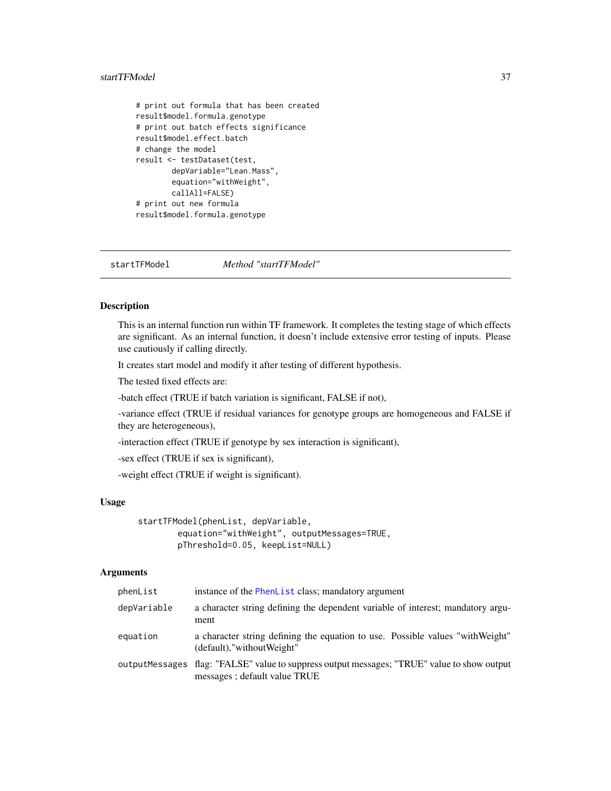## <span id="page-36-0"></span>startTFModel 37

```
# print out formula that has been created
result$model.formula.genotype
# print out batch effects significance
result$model.effect.batch
# change the model
result <- testDataset(test,
        depVariable="Lean.Mass",
        equation="withWeight",
        callAll=FALSE)
# print out new formula
result$model.formula.genotype
```
startTFModel *Method "startTFModel"*

#### Description

This is an internal function run within TF framework. It completes the testing stage of which effects are significant. As an internal function, it doesn't include extensive error testing of inputs. Please use cautiously if calling directly.

It creates start model and modify it after testing of different hypothesis.

The tested fixed effects are:

-batch effect (TRUE if batch variation is significant, FALSE if not),

-variance effect (TRUE if residual variances for genotype groups are homogeneous and FALSE if they are heterogeneous),

-interaction effect (TRUE if genotype by sex interaction is significant),

-sex effect (TRUE if sex is significant),

-weight effect (TRUE if weight is significant).

#### Usage

```
startTFModel(phenList, depVariable,
       equation="withWeight", outputMessages=TRUE,
       pThreshold=0.05, keepList=NULL)
```
## **Arguments**

| phenList    | instance of the PhenList class; mandatory argument                                                                          |
|-------------|-----------------------------------------------------------------------------------------------------------------------------|
| depVariable | a character string defining the dependent variable of interest; mandatory argu-<br>ment                                     |
| equation    | a character string defining the equation to use. Possible values "with Weight"<br>(default),"withoutWeight"                 |
|             | outputMessages flag: "FALSE" value to suppress output messages; "TRUE" value to show output<br>messages; default value TRUE |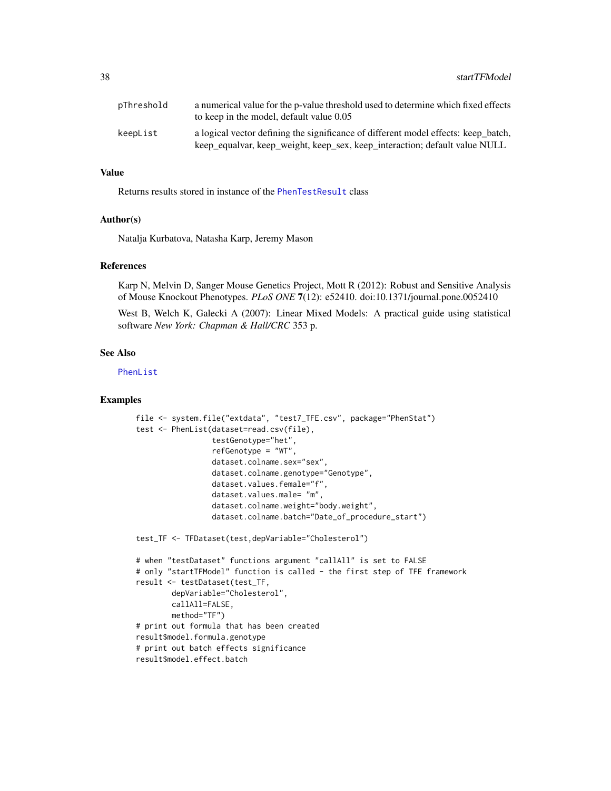| pThreshold | a numerical value for the p-value threshold used to determine which fixed effects<br>to keep in the model, default value 0.05                                    |
|------------|------------------------------------------------------------------------------------------------------------------------------------------------------------------|
| keepList   | a logical vector defining the significance of different model effects: keep batch,<br>keep_equalvar, keep_weight, keep_sex, keep_interaction; default value NULL |

## Value

Returns results stored in instance of the [PhenTestResult](#page-21-1) class

## Author(s)

Natalja Kurbatova, Natasha Karp, Jeremy Mason

#### References

Karp N, Melvin D, Sanger Mouse Genetics Project, Mott R (2012): Robust and Sensitive Analysis of Mouse Knockout Phenotypes. *PLoS ONE* 7(12): e52410. doi:10.1371/journal.pone.0052410

West B, Welch K, Galecki A (2007): Linear Mixed Models: A practical guide using statistical software *New York: Chapman & Hall/CRC* 353 p.

#### See Also

[PhenList](#page-18-1)

```
file <- system.file("extdata", "test7_TFE.csv", package="PhenStat")
test <- PhenList(dataset=read.csv(file),
                 testGenotype="het",
                 refGenotype = "WT",
                 dataset.colname.sex="sex",
                 dataset.colname.genotype="Genotype",
                 dataset.values.female="f",
                 dataset.values.male= "m",
                 dataset.colname.weight="body.weight",
                 dataset.colname.batch="Date_of_procedure_start")
test_TF <- TFDataset(test,depVariable="Cholesterol")
# when "testDataset" functions argument "callAll" is set to FALSE
# only "startTFModel" function is called - the first step of TFE framework
result <- testDataset(test_TF,
       depVariable="Cholesterol",
       callAll=FALSE,
       method="TF")
# print out formula that has been created
result$model.formula.genotype
# print out batch effects significance
result$model.effect.batch
```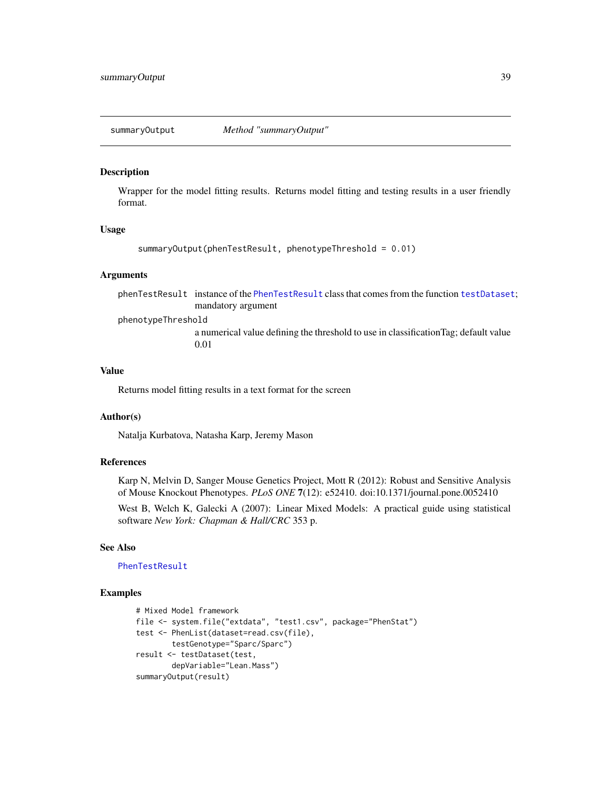<span id="page-38-0"></span>

#### **Description**

Wrapper for the model fitting results. Returns model fitting and testing results in a user friendly format.

## Usage

```
summaryOutput(phenTestResult, phenotypeThreshold = 0.01)
```
#### Arguments

phenTestResult instance of the [PhenTestResult](#page-21-1) class that comes from the function [testDataset](#page-39-1); mandatory argument

phenotypeThreshold

a numerical value defining the threshold to use in classificationTag; default value 0.01

#### Value

Returns model fitting results in a text format for the screen

## Author(s)

Natalja Kurbatova, Natasha Karp, Jeremy Mason

## References

Karp N, Melvin D, Sanger Mouse Genetics Project, Mott R (2012): Robust and Sensitive Analysis of Mouse Knockout Phenotypes. *PLoS ONE* 7(12): e52410. doi:10.1371/journal.pone.0052410

West B, Welch K, Galecki A (2007): Linear Mixed Models: A practical guide using statistical software *New York: Chapman & Hall/CRC* 353 p.

#### See Also

[PhenTestResult](#page-21-1)

```
# Mixed Model framework
file <- system.file("extdata", "test1.csv", package="PhenStat")
test <- PhenList(dataset=read.csv(file),
       testGenotype="Sparc/Sparc")
result <- testDataset(test,
       depVariable="Lean.Mass")
summaryOutput(result)
```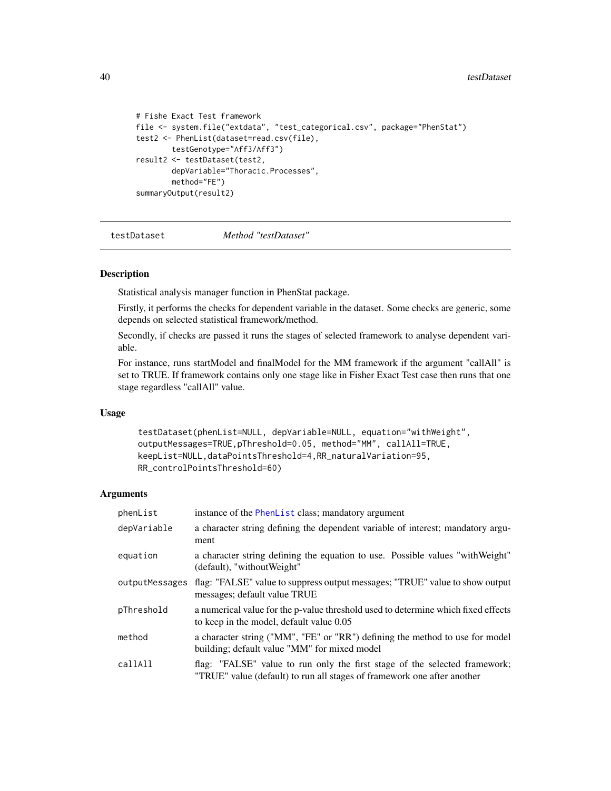```
# Fishe Exact Test framework
file <- system.file("extdata", "test_categorical.csv", package="PhenStat")
test2 <- PhenList(dataset=read.csv(file),
       testGenotype="Aff3/Aff3")
result2 <- testDataset(test2,
       depVariable="Thoracic.Processes",
       method="FE")
summaryOutput(result2)
```
<span id="page-39-1"></span>testDataset *Method "testDataset"*

## **Description**

Statistical analysis manager function in PhenStat package.

Firstly, it performs the checks for dependent variable in the dataset. Some checks are generic, some depends on selected statistical framework/method.

Secondly, if checks are passed it runs the stages of selected framework to analyse dependent variable.

For instance, runs startModel and finalModel for the MM framework if the argument "callAll" is set to TRUE. If framework contains only one stage like in Fisher Exact Test case then runs that one stage regardless "callAll" value.

#### Usage

```
testDataset(phenList=NULL, depVariable=NULL, equation="withWeight",
outputMessages=TRUE,pThreshold=0.05, method="MM", callAll=TRUE,
keepList=NULL,dataPointsThreshold=4,RR_naturalVariation=95,
RR_controlPointsThreshold=60)
```
## Arguments

| phenList       | instance of the PhenList class; mandatory argument                                                                                                    |
|----------------|-------------------------------------------------------------------------------------------------------------------------------------------------------|
| depVariable    | a character string defining the dependent variable of interest; mandatory argu-<br>ment                                                               |
| equation       | a character string defining the equation to use. Possible values "with Weight"<br>(default), "without Weight"                                         |
| outputMessages | flag: "FALSE" value to suppress output messages; "TRUE" value to show output<br>messages; default value TRUE                                          |
| pThreshold     | a numerical value for the p-value threshold used to determine which fixed effects<br>to keep in the model, default value 0.05                         |
| method         | a character string ("MM", "FE" or "RR") defining the method to use for model<br>building; default value "MM" for mixed model                          |
| callAll        | flag: "FALSE" value to run only the first stage of the selected framework;<br>"TRUE" value (default) to run all stages of framework one after another |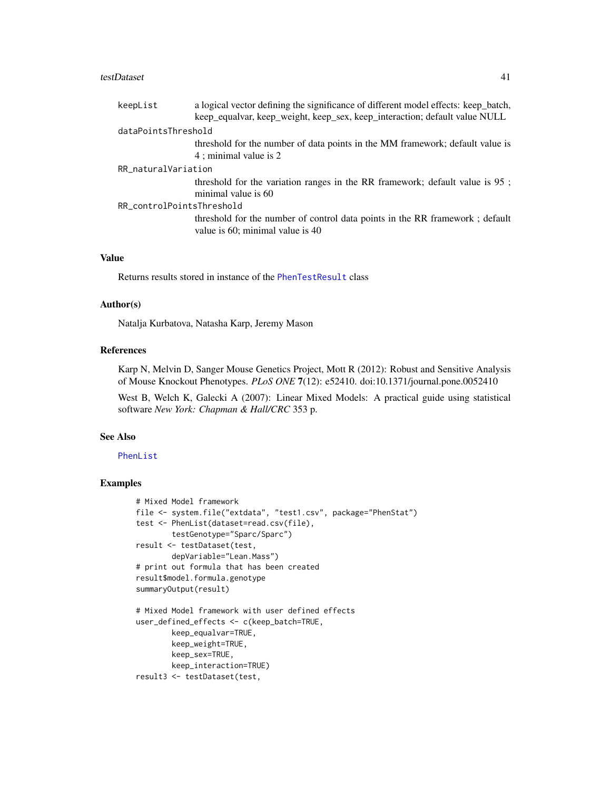#### testDataset 41

| keepList                  | a logical vector defining the significance of different model effects: keep_batch, |
|---------------------------|------------------------------------------------------------------------------------|
|                           | keep_equalvar, keep_weight, keep_sex, keep_interaction; default value NULL         |
| dataPointsThreshold       |                                                                                    |
|                           | threshold for the number of data points in the MM framework; default value is      |
|                           | 4; minimal value is 2                                                              |
| RR_naturalVariation       |                                                                                    |
|                           | threshold for the variation ranges in the RR framework; default value is 95;       |
|                           | minimal value is 60                                                                |
| RR_controlPointsThreshold |                                                                                    |
|                           | threshold for the number of control data points in the RR framework; default       |
|                           | value is 60; minimal value is 40                                                   |

## Value

Returns results stored in instance of the [PhenTestResult](#page-21-1) class

#### Author(s)

Natalja Kurbatova, Natasha Karp, Jeremy Mason

## References

Karp N, Melvin D, Sanger Mouse Genetics Project, Mott R (2012): Robust and Sensitive Analysis of Mouse Knockout Phenotypes. *PLoS ONE* 7(12): e52410. doi:10.1371/journal.pone.0052410

West B, Welch K, Galecki A (2007): Linear Mixed Models: A practical guide using statistical software *New York: Chapman & Hall/CRC* 353 p.

#### See Also

[PhenList](#page-18-1)

```
# Mixed Model framework
file <- system.file("extdata", "test1.csv", package="PhenStat")
test <- PhenList(dataset=read.csv(file),
        testGenotype="Sparc/Sparc")
result <- testDataset(test,
        depVariable="Lean.Mass")
# print out formula that has been created
result$model.formula.genotype
summaryOutput(result)
# Mixed Model framework with user defined effects
user_defined_effects <- c(keep_batch=TRUE,
        keep_equalvar=TRUE,
        keep_weight=TRUE,
       keep_sex=TRUE,
       keep_interaction=TRUE)
result3 <- testDataset(test,
```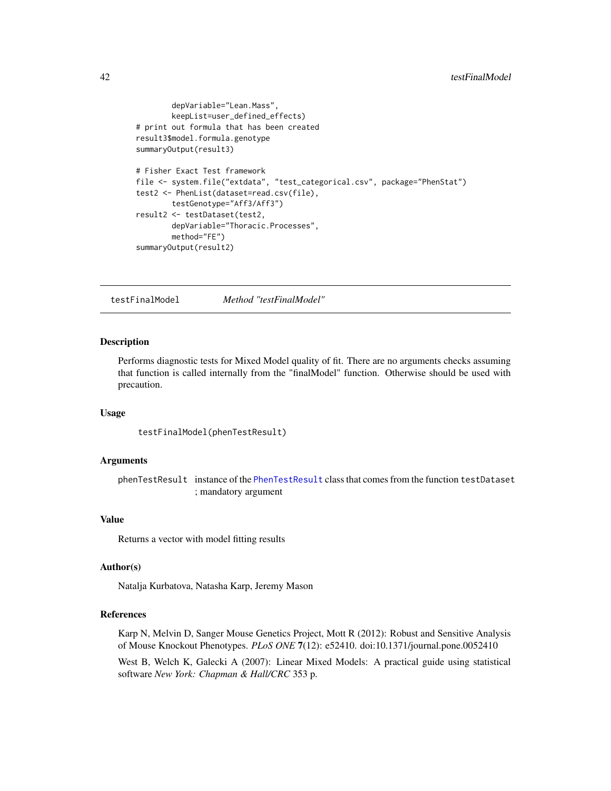```
depVariable="Lean.Mass",
        keepList=user_defined_effects)
# print out formula that has been created
result3$model.formula.genotype
summaryOutput(result3)
# Fisher Exact Test framework
file <- system.file("extdata", "test_categorical.csv", package="PhenStat")
test2 <- PhenList(dataset=read.csv(file),
        testGenotype="Aff3/Aff3")
result2 <- testDataset(test2,
        depVariable="Thoracic.Processes",
        method="FE")
summaryOutput(result2)
```
testFinalModel *Method "testFinalModel"*

#### Description

Performs diagnostic tests for Mixed Model quality of fit. There are no arguments checks assuming that function is called internally from the "finalModel" function. Otherwise should be used with precaution.

## Usage

testFinalModel(phenTestResult)

#### Arguments

phenTestResult instance of the [PhenTestResult](#page-21-1) class that comes from the function testDataset ; mandatory argument

#### Value

Returns a vector with model fitting results

#### Author(s)

Natalja Kurbatova, Natasha Karp, Jeremy Mason

## References

Karp N, Melvin D, Sanger Mouse Genetics Project, Mott R (2012): Robust and Sensitive Analysis of Mouse Knockout Phenotypes. *PLoS ONE* 7(12): e52410. doi:10.1371/journal.pone.0052410

West B, Welch K, Galecki A (2007): Linear Mixed Models: A practical guide using statistical software *New York: Chapman & Hall/CRC* 353 p.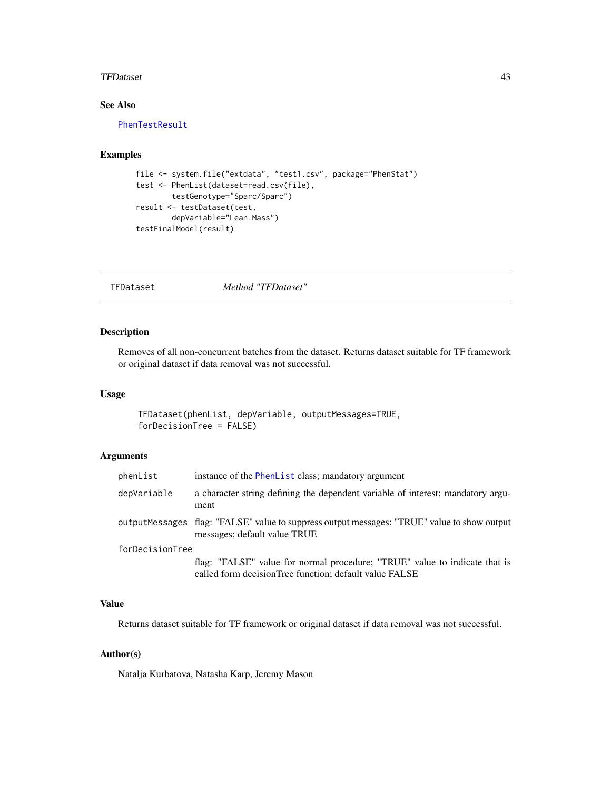#### <span id="page-42-0"></span>TFDataset 43

## See Also

[PhenTestResult](#page-21-1)

## Examples

```
file <- system.file("extdata", "test1.csv", package="PhenStat")
test <- PhenList(dataset=read.csv(file),
       testGenotype="Sparc/Sparc")
result <- testDataset(test,
       depVariable="Lean.Mass")
testFinalModel(result)
```
TFDataset *Method "TFDataset"*

## Description

Removes of all non-concurrent batches from the dataset. Returns dataset suitable for TF framework or original dataset if data removal was not successful.

#### Usage

```
TFDataset(phenList, depVariable, outputMessages=TRUE,
forDecisionTree = FALSE)
```
## Arguments

| phenList        | instance of the PhenList class; mandatory argument                                                                                   |
|-----------------|--------------------------------------------------------------------------------------------------------------------------------------|
| depVariable     | a character string defining the dependent variable of interest; mandatory argu-<br>ment                                              |
|                 | outputMessages flag: "FALSE" value to suppress output messages; "TRUE" value to show output<br>messages; default value TRUE          |
| forDecisionTree |                                                                                                                                      |
|                 | flag: "FALSE" value for normal procedure: "TRUE" value to indicate that is<br>called form decisionTree function; default value FALSE |

## Value

Returns dataset suitable for TF framework or original dataset if data removal was not successful.

## Author(s)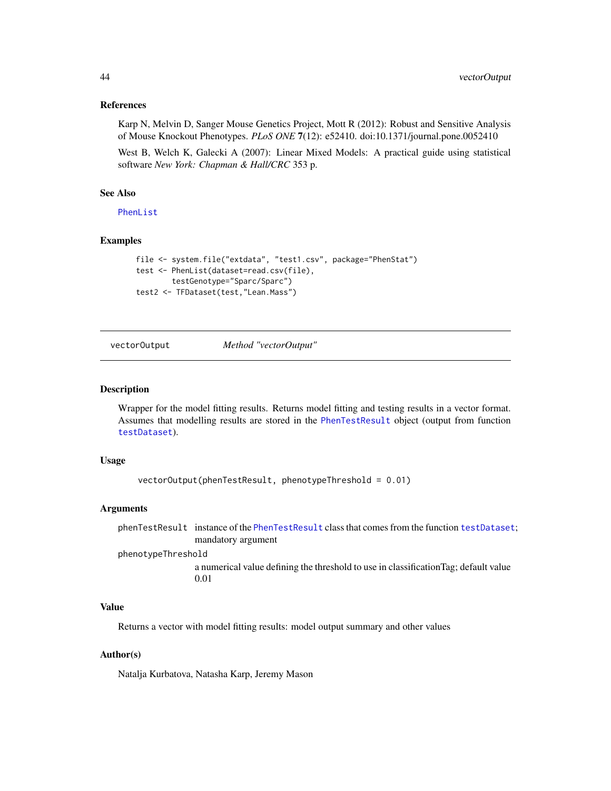<span id="page-43-0"></span>Karp N, Melvin D, Sanger Mouse Genetics Project, Mott R (2012): Robust and Sensitive Analysis of Mouse Knockout Phenotypes. *PLoS ONE* 7(12): e52410. doi:10.1371/journal.pone.0052410

West B, Welch K, Galecki A (2007): Linear Mixed Models: A practical guide using statistical software *New York: Chapman & Hall/CRC* 353 p.

## See Also

[PhenList](#page-18-1)

## Examples

```
file <- system.file("extdata", "test1.csv", package="PhenStat")
test <- PhenList(dataset=read.csv(file),
       testGenotype="Sparc/Sparc")
test2 <- TFDataset(test,"Lean.Mass")
```
vectorOutput *Method "vectorOutput"*

## **Description**

Wrapper for the model fitting results. Returns model fitting and testing results in a vector format. Assumes that modelling results are stored in the [PhenTestResult](#page-21-1) object (output from function [testDataset](#page-39-1)).

#### Usage

```
vectorOutput(phenTestResult, phenotypeThreshold = 0.01)
```
#### Arguments

phenTestResult instance of the [PhenTestResult](#page-21-1) class that comes from the function [testDataset](#page-39-1); mandatory argument

phenotypeThreshold

a numerical value defining the threshold to use in classificationTag; default value 0.01

#### Value

Returns a vector with model fitting results: model output summary and other values

## Author(s)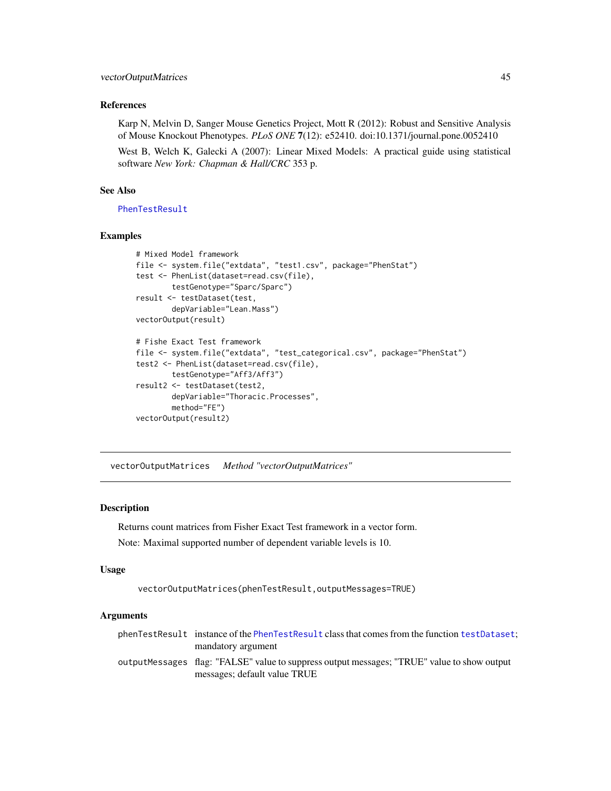<span id="page-44-0"></span>Karp N, Melvin D, Sanger Mouse Genetics Project, Mott R (2012): Robust and Sensitive Analysis of Mouse Knockout Phenotypes. *PLoS ONE* 7(12): e52410. doi:10.1371/journal.pone.0052410

West B, Welch K, Galecki A (2007): Linear Mixed Models: A practical guide using statistical software *New York: Chapman & Hall/CRC* 353 p.

## See Also

[PhenTestResult](#page-21-1)

## Examples

```
# Mixed Model framework
file <- system.file("extdata", "test1.csv", package="PhenStat")
test <- PhenList(dataset=read.csv(file),
        testGenotype="Sparc/Sparc")
result <- testDataset(test,
        depVariable="Lean.Mass")
vectorOutput(result)
# Fishe Exact Test framework
file <- system.file("extdata", "test_categorical.csv", package="PhenStat")
test2 <- PhenList(dataset=read.csv(file),
        testGenotype="Aff3/Aff3")
result2 <- testDataset(test2,
        depVariable="Thoracic.Processes",
        method="FE")
vectorOutput(result2)
```
vectorOutputMatrices *Method "vectorOutputMatrices"*

#### Description

Returns count matrices from Fisher Exact Test framework in a vector form. Note: Maximal supported number of dependent variable levels is 10.

#### Usage

```
vectorOutputMatrices(phenTestResult,outputMessages=TRUE)
```
## Arguments

| phenTestResult instance of the PhenTestResult class that comes from the function testDataset.                               |
|-----------------------------------------------------------------------------------------------------------------------------|
| mandatory argument                                                                                                          |
| outputMessages flag: "FALSE" value to suppress output messages; "TRUE" value to show output<br>messages; default value TRUE |
|                                                                                                                             |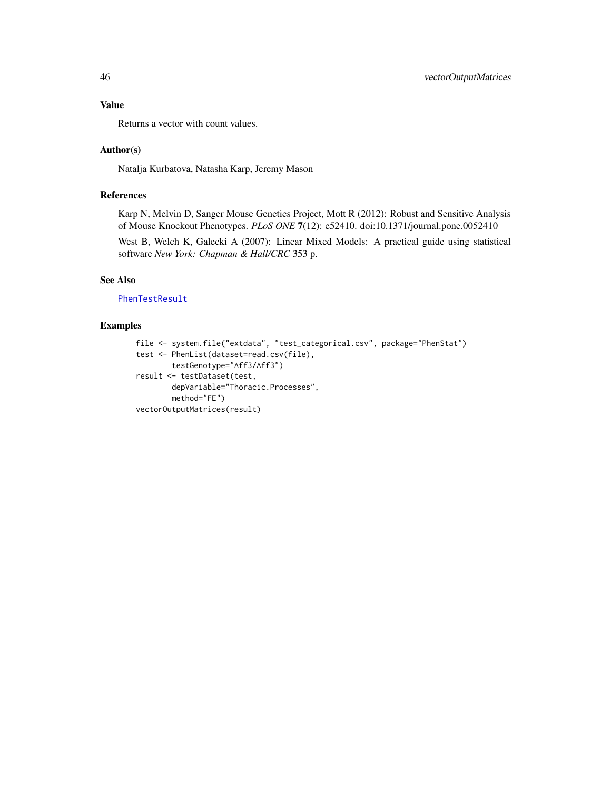Value

Returns a vector with count values.

## Author(s)

Natalja Kurbatova, Natasha Karp, Jeremy Mason

## References

Karp N, Melvin D, Sanger Mouse Genetics Project, Mott R (2012): Robust and Sensitive Analysis of Mouse Knockout Phenotypes. *PLoS ONE* 7(12): e52410. doi:10.1371/journal.pone.0052410

West B, Welch K, Galecki A (2007): Linear Mixed Models: A practical guide using statistical software *New York: Chapman & Hall/CRC* 353 p.

## See Also

[PhenTestResult](#page-21-1)

```
file <- system.file("extdata", "test_categorical.csv", package="PhenStat")
test <- PhenList(dataset=read.csv(file),
        testGenotype="Aff3/Aff3")
result <- testDataset(test,
        depVariable="Thoracic.Processes",
       method="FE")
vectorOutputMatrices(result)
```